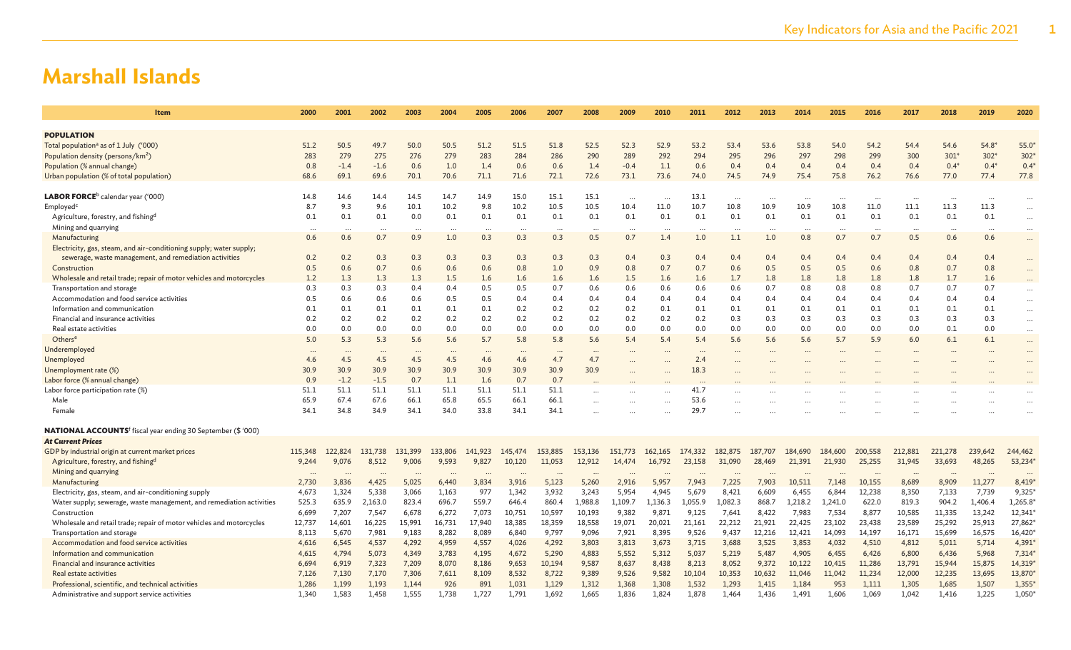| Item                                                                     | 2000     | 2001      | 2002     | 2003     | 2004      | 2005     | 2006    | 2007     | 2008      | 2009     | 2010      | 2011     | 2012                 | 2013     | 2014    | 2015    | 2016     | 2017     | 2018     | 2019     | 2020          |
|--------------------------------------------------------------------------|----------|-----------|----------|----------|-----------|----------|---------|----------|-----------|----------|-----------|----------|----------------------|----------|---------|---------|----------|----------|----------|----------|---------------|
| <b>POPULATION</b>                                                        |          |           |          |          |           |          |         |          |           |          |           |          |                      |          |         |         |          |          |          |          |               |
| Total population <sup>a</sup> as of 1 July ('000)                        | 51.2     | 50.5      | 49.7     | 50.0     | 50.5      | 51.2     | 51.5    | 51.8     | 52.5      | 52.3     | 52.9      | 53.2     | 53.4                 | 53.6     | 53.8    | 54.0    | 54.2     | 54.4     | 54.6     | $54.8*$  | 55.0          |
| Population density (persons/km <sup>2</sup> )                            | 283      | 279       | 275      | 276      | 279       | 283      | 284     | 286      | 290       | 289      | 292       | 294      | 295                  | 296      | 297     | 298     | 299      | 300      | $301*$   | $302*$   | 302           |
| Population (% annual change)                                             | 0.8      | $-1.4$    | $-1.6$   | 0.6      | 1.0       | 1.4      | 0.6     | 0.6      | 1.4       | $-0.4$   | 1.1       | 0.6      | 0.4                  | 0.4      | 0.4     | 0.4     | 0.4      | 0.4      | $0.4*$   | $0.4*$   | $0.4^{\circ}$ |
| Urban population (% of total population)                                 | 68.6     | 69.1      | 69.6     | 70.1     | 70.6      | 71.1     | 71.6    | 72.1     | 72.6      | 73.1     | 73.6      | 74.0     | 74.5                 | 74.9     | 75.4    | 75.8    | 76.2     | 76.6     | 77.0     | 77.4     | 77.8          |
|                                                                          |          |           |          |          |           |          |         |          |           |          |           |          |                      |          |         |         |          |          |          |          |               |
| <b>LABOR FORCE</b> <sup>b</sup> calendar year ('000)                     | 14.8     | 14.6      | 14.4     | 14.5     | 14.7      | 14.9     | 15.0    | 15.1     | 15.1      | $\cdots$ |           | 13.1     | $\cdots$             | $\cdots$ |         |         | $\cdots$ | $\cdots$ | $\cdots$ | $\cdots$ | $\cdots$      |
| Employed <sup>c</sup>                                                    | 8.7      | 9.3       | 9.6      | 10.1     | 10.2      | 9.8      | 10.2    | 10.5     | 10.5      | 10.4     | 11.0      | 10.7     | 10.8                 | 10.9     | 10.9    | 10.8    | 11.0     | 11.1     | 11.3     | 11.3     | $\cdots$      |
| Agriculture, forestry, and fishing <sup>d</sup>                          | 0.1      | 0.1       | 0.1      | 0.0      | 0.1       | 0.1      | 0.1     | 0.1      | 0.1       | 0.1      | 0.1       | 0.1      | 0.1                  | 0.1      | 0.1     | 0.1     | 0.1      | 0.1      | 0.1      | 0.1      | $\cdots$      |
| Mining and quarrying                                                     |          |           |          |          |           |          |         |          |           |          |           |          |                      |          |         |         |          |          |          |          |               |
| Manufacturing                                                            | 0.6      | 0.6       | 0.7      | 0.9      | 1.0       | 0.3      | 0.3     | 0.3      | 0.5       | 0.7      | 1.4       | 1.0      | 1.1                  | 1.0      | 0.8     | 0.7     | 0.7      | 0.5      | 0.6      | 0.6      | $\cdots$      |
| Electricity, gas, steam, and air-conditioning supply; water supply;      |          |           |          |          |           |          |         |          |           |          |           |          |                      |          |         |         |          |          |          |          |               |
| sewerage, waste management, and remediation activities                   | 0.2      | 0.2       | 0.3      | 0.3      | 0.3       | 0.3      | 0.3     | 0.3      | 0.3       | 0.4      | 0.3       | 0.4      | 0.4                  | 0.4      | 0.4     | 0.4     | 0.4      | 0.4      | 0.4      | 0.4      | $\cdots$      |
| Construction                                                             | 0.5      | 0.6       | 0.7      | 0.6      | 0.6       | 0.6      | 0.8     | 1.0      | 0.9       | 0.8      | 0.7       | 0.7      | 0.6                  | 0.5      | 0.5     | 0.5     | 0.6      | 0.8      | 0.7      | 0.8      | $\ddots$      |
| Wholesale and retail trade; repair of motor vehicles and motorcycles     | 1.2      | 1.3       | 1.3      | 1.3      | 1.5       | 1.6      | 1.6     | 1.6      | 1.6       | 1.5      | 1.6       | 1.6      | 1.7                  | 1.8      | 1.8     | 1.8     | 1.8      | 1.8      | 1.7      | 1.6      |               |
| Transportation and storage                                               | 0.3      | 0.3       | 0.3      | 0.4      | 0.4       | 0.5      | 0.5     | 0.7      | 0.6       | 0.6      | 0.6       | 0.6      | 0.6                  | 0.7      | 0.8     | 0.8     | 0.8      | 0.7      | 0.7      | 0.7      | $\cdots$      |
| Accommodation and food service activities                                | 0.5      | 0.6       | 0.6      | 0.6      | 0.5       | 0.5      | 0.4     | 0.4      | 0.4       | 0.4      | 0.4       | 0.4      | 0.4                  | 0.4      | 0.4     | 0.4     | 0.4      | 0.4      | 0.4      | 0.4      | $\cdots$      |
| Information and communication                                            | 0.1      | 0.1       | 0.1      | 0.1      | 0.1       | 0.1      | 0.2     | 0.2      | 0.2       | 0.2      | 0.1       | 0.1      | 0.1                  | 0.1      | 0.1     | 0.1     | 0.1      | 0.1      | 0.1      | 0.1      | $\cdots$      |
| Financial and insurance activities                                       | 0.2      | 0.2       | 0.2      | 0.2      | 0.2       | 0.2      | 0.2     | 0.2      | 0.2       | 0.2      | 0.2       | 0.2      | 0.3                  | 0.3      | 0.3     | 0.3     | 0.3      | 0.3      | 0.3      | 0.3      | $\cdots$      |
| Real estate activities                                                   | 0.0      | 0.0       | 0.0      | 0.0      | 0.0       | 0.0      | 0.0     | 0.0      | 0.0       | 0.0      | 0.0       | 0.0      | 0.0                  | 0.0      | 0.0     | 0.0     | 0.0      | 0.0      | 0.1      | 0.0      | $\cdots$      |
| Others <sup>e</sup>                                                      | 5.0      | 5.3       | 5.3      | 5.6      | 5.6       | 5.7      | 5.8     | 5.8      | 5.6       | 5.4      | 5.4       | 5.4      | 5.6                  | 5.6      | 5.6     | 5.7     | 5.9      | 6.0      | 6.1      | 6.1      | $\cdots$      |
| Underemployed                                                            | $\cdots$ | $\ddotsc$ | $\cdots$ | $\cdots$ | $\ddotsc$ | $\cdots$ |         | $\cdots$ | $\cdots$  |          |           | $\cdots$ | $\cdots$             |          |         |         |          |          |          |          | $\cdots$      |
| Unemployed                                                               | 4.6      | 4.5       | 4.5      | 4.5      | 4.5       | 4.6      | 4.6     | 4.7      | 4.7       |          |           | 2.4      | $\ddotsc$            |          |         |         |          |          |          |          |               |
| Unemployment rate (%)                                                    | 30.9     | 30.9      | 30.9     | 30.9     | 30.9      | 30.9     | 30.9    | 30.9     | 30.9      |          |           | 18.3     |                      |          |         |         |          |          |          |          |               |
| Labor force (% annual change)                                            | 0.9      | $-1.2$    | $-1.5$   | 0.7      | 1.1       | 1.6      | 0.7     | 0.7      |           |          |           | $\cdots$ |                      |          |         |         |          |          |          |          |               |
| Labor force participation rate (%)                                       | 51.1     | 51.1      | 51.1     | 51.1     | 51.1      | 51.1     | 51.1    | 51.1     | $\ddotsc$ |          | $\ddotsc$ | 41.7     |                      |          |         |         |          |          |          |          |               |
| Male                                                                     | 65.9     | 67.4      | 67.6     | 66.1     | 65.8      | 65.5     | 66.1    | 66.1     | $\sim$    |          |           | 53.6     | $\ddot{\phantom{a}}$ |          |         |         |          |          |          |          |               |
| Female                                                                   | 34.1     | 34.8      | 34.9     | 34.1     | 34.0      | 33.8     | 34.1    | 34.1     |           |          |           | 29.7     |                      |          |         |         |          |          |          |          |               |
| NATIONAL ACCOUNTS <sup>f</sup> fiscal year ending 30 September (\$ '000) |          |           |          |          |           |          |         |          |           |          |           |          |                      |          |         |         |          |          |          |          |               |
| <b>At Current Prices</b>                                                 |          |           |          |          |           |          |         |          |           |          |           |          |                      |          |         |         |          |          |          |          |               |
| GDP by industrial origin at current market prices                        | 115,348  | 122,824   | 131,738  | 131,399  | 133,806   | 141,923  | 145,474 | 153,885  | 153,136   | 151,773  | 162,165   | 174,332  | 182,875              | 187,707  | 184,690 | 184,600 | 200,558  | 212,881  | 221,278  | 239,642  | 244,462       |
| Agriculture, forestry, and fishingd                                      | 9,244    | 9,076     | 8,512    | 9,006    | 9,593     | 9,827    | 10,120  | 11,053   | 12,912    | 14,474   | 16,792    | 23,158   | 31,090               | 28,469   | 21,391  | 21,930  | 25,255   | 31,945   | 33,693   | 48,265   | 53,234        |
| Mining and quarrying                                                     | $\cdots$ | $\cdots$  | $\cdots$ | $\cdots$ | $\ddotsc$ | $\cdots$ |         | $\cdots$ | $\cdots$  |          |           |          |                      |          |         |         | $\cdots$ | $\cdots$ | $\cdots$ | $\cdots$ | $\cdots$      |
| Manufacturing                                                            | 2,730    | 3,836     | 4,425    | 5,025    | 6,440     | 3,834    | 3,916   | 5,123    | 5,260     | 2,916    | 5,957     | 7,943    | 7,225                | 7,903    | 10,511  | 7,148   | 10,155   | 8,689    | 8,909    | 11,277   | 8,419         |
| Electricity, gas, steam, and air-conditioning supply                     | 4,673    | 1,324     | 5,338    | 3,066    | 1,163     | 977      | 1,342   | 3,932    | 3,243     | 5,954    | 4,945     | 5,679    | 8,421                | 6,609    | 6,455   | 6,844   | 12,238   | 8,350    | 7,133    | 7,739    | 9,325         |
| Water supply; sewerage, waste management, and remediation activities     | 525.3    | 635.9     | 2,163.0  | 823.4    | 696.7     | 559.7    | 646.4   | 860.4    | 1,988.8   | 1,109.7  | 1,136.3   | 1,055.9  | 1,082.3              | 868.7    | 1,218.2 | 1,241.0 | 622.0    | 819.3    | 904.2    | 1,406.4  | 1,265.8       |
| Construction                                                             | 6,699    | 7,207     | 7,547    | 6,678    | 6,272     | 7,073    | 10,751  | 10,597   | 10,193    | 9,382    | 9,871     | 9,125    | 7,641                | 8,422    | 7,983   | 7,534   | 8,877    | 10,585   | 11,335   | 13,242   | 12,341        |
| Wholesale and retail trade; repair of motor vehicles and motorcycles     | 12,737   | 14,601    | 16,225   | 15,991   | 16,731    | 17,940   | 18,385  | 18,359   | 18,558    | 19,071   | 20,021    | 21,161   | 22,212               | 21,921   | 22,425  | 23,102  | 23,438   | 23,589   | 25,292   | 25,913   | 27,862        |
| Transportation and storage                                               | 8,113    | 5,670     | 7,981    | 9,183    | 8,282     | 8,089    | 6,840   | 9,797    | 9,096     | 7,921    | 8,395     | 9,526    | 9,437                | 12,216   | 12,421  | 14,093  | 14,197   | 16,171   | 15,699   | 16,575   | 16,420        |
| Accommodation and food service activities                                | 4,616    | 6,545     | 4,537    | 4,292    | 4,959     | 4,557    | 4,026   | 4,292    | 3,803     | 3,813    | 3,673     | 3,715    | 3,688                | 3,525    | 3,853   | 4,032   | 4,510    | 4,812    | 5,011    | 5,714    | 4,391         |
| Information and communication                                            | 4,615    | 4,794     | 5,073    | 4,349    | 3,783     | 4,195    | 4,672   | 5,290    | 4,883     | 5,552    | 5,312     | 5,037    | 5,219                | 5,487    | 4,905   | 6,455   | 6,426    | 6,800    | 6,436    | 5,968    | 7,314         |
| Financial and insurance activities                                       | 6,694    | 6,919     | 7,323    | 7,209    | 8,070     | 8,186    | 9,653   | 10,194   | 9,587     | 8,637    | 8,438     | 8,213    | 8,052                | 9,372    | 10,122  | 10,415  | 11,286   | 13,791   | 15,944   | 15,875   | 14,319        |
| Real estate activities                                                   | 7,126    | 7,130     | 7,170    | 7,306    | 7,611     | 8,109    | 8,532   | 8,722    | 9,389     | 9,526    | 9,582     | 10,104   | 10,353               | 10,632   | 11,046  | 11,042  | 11,234   | 12,000   | 12,235   | 13,695   | 13,870*       |
| Professional, scientific, and technical activities                       | 1,286    | 1,199     | 1,193    | 1,144    | 926       | 891      | 1,031   | 1,129    | 1,312     | 1,368    | 1,308     | 1,532    | 1,293                | 1,415    | 1,184   | 953     | 1,111    | 1,305    | 1,685    | 1,507    | 1,355         |
| Administrative and support service activities                            | 1,340    | 1,583     | 1.458    | 1.555    | 1.738     | 1.727    | 1.791   | 1.692    | 1.665     | 1,836    | 1,824     | 1.878    | 1.464                | 1.436    | 1,491   | 1.606   | 1.069    | 1.042    | 1,416    | 1,225    | 1,050         |
|                                                                          |          |           |          |          |           |          |         |          |           |          |           |          |                      |          |         |         |          |          |          |          |               |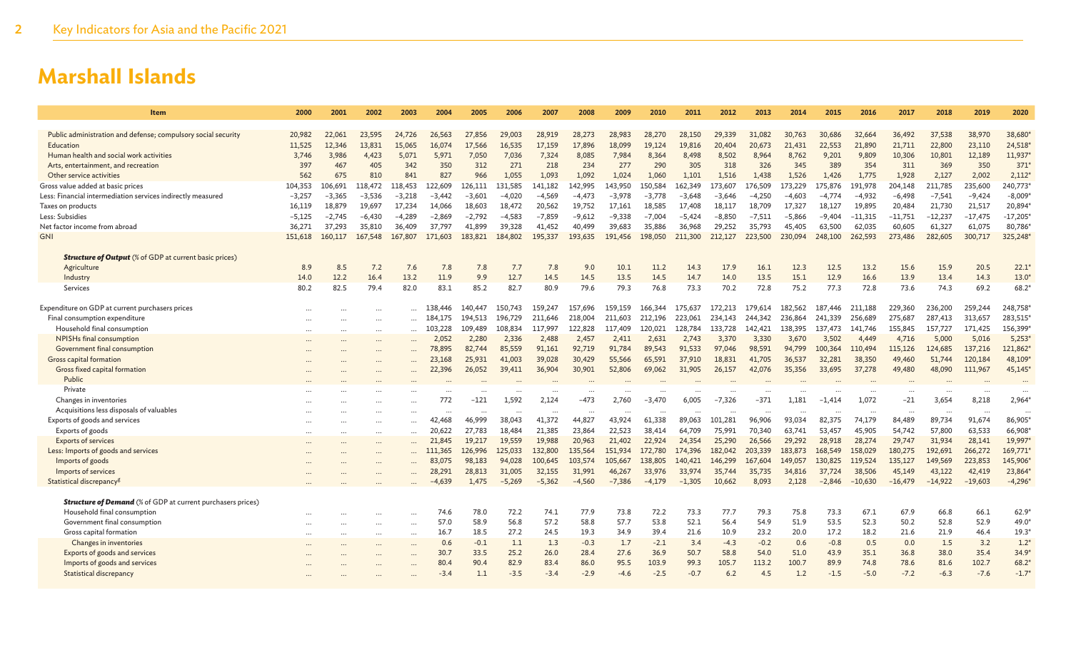| <b>Item</b>                                                                | 2000             | 2001             | 2002             | 2003             | 2004             | 2005             | 2006             | 2007              | 2008              | 2009              | 2010              | 2011              | 2012              | 2013              | 2014              | 2015              | 2016              | 2017              | 2018              | 2019              | 2020                |
|----------------------------------------------------------------------------|------------------|------------------|------------------|------------------|------------------|------------------|------------------|-------------------|-------------------|-------------------|-------------------|-------------------|-------------------|-------------------|-------------------|-------------------|-------------------|-------------------|-------------------|-------------------|---------------------|
|                                                                            |                  |                  |                  |                  |                  |                  |                  |                   |                   |                   |                   |                   |                   |                   |                   |                   |                   |                   |                   | 38,970            |                     |
| Public administration and defense; compulsory social security<br>Education | 20,982<br>11,525 | 22,061<br>12,346 | 23,595<br>13,831 | 24,726<br>15,065 | 26,563<br>16,074 | 27,856<br>17,566 | 29,003<br>16,535 | 28,919<br>17,159  | 28,273<br>17,896  | 28,983<br>18,099  | 28,270<br>19,124  | 28,150<br>19,816  | 29,339<br>20,404  | 31,082<br>20,673  | 30,763<br>21,431  | 30,686<br>22,553  | 32,664<br>21,890  | 36,492<br>21,711  | 37,538<br>22,800  | 23,110            | 38,680<br>24,518*   |
| Human health and social work activities                                    | 3,746            | 3,986            | 4,423            | 5,071            | 5,971            | 7,050            | 7,036            | 7,324             | 8,085             | 7,984             | 8,364             | 8,498             | 8,502             | 8,964             | 8,762             | 9,201             | 9,809             | 10,306            | 10,801            | 12,189            | 11,937              |
| Arts, entertainment, and recreation                                        | 397              | 467              | 405              | 342              | 350              | 312              | 271              | 218               | 234               | 277               | 290               | 305               | 318               | 326               | 345               | 389               | 354               | 311               | 369               | 350               | 371                 |
| Other service activities                                                   | 562              | 675              | 810              | 841              | 827              | 966              | 1.055            | 1,093             | 1.092             | 1.024             | 1,060             | 1.101             | 1.516             | 1,438             | 1.526             | 1,426             | 1,775             | 1.928             | 2,127             | 2,002             | 2,112               |
| Gross value added at basic prices                                          | 104,353          | 106,691          | 118,472          | 118,453          | 122,609          | 126,111          | 131,585          | 141,182           | 142,995           | 143,950           | 50,584            | 162,349           | 173,607           | 176,509           | 173,229           | L75,876           | 191,978           | 204,148           | 211,785           | 235,600           | 240,773             |
| Less: Financial intermediation services indirectly measured                | $-3,257$         | $-3,365$         | $-3,536$         | $-3,218$         | $-3,442$         | $-3,601$         | $-4,020$         | $-4,569$          | $-4,473$          | $-3,978$          | $-3,778$          | $-3,648$          | $-3,646$          | $-4,250$          | $-4,603$          | $-4,774$          | $-4,932$          | $-6,498$          | $-7,541$          | $-9,424$          | $-8,009*$           |
| Taxes on products                                                          | 16,119           | 18,879           | 19,697           | 17,234           | 14,066           | 18,603           | 18,472           | 20,562            | 19,752            | 17,161            | 18,585            | 17,408            | 18,117            | 18,709            | 17,327            | 18,127            | 19,895            | 20,484            | 21,730            | 21,517            | 20,894              |
| Less: Subsidies                                                            | $-5,125$         | $-2,745$         | $-6,430$         | $-4,289$         | $-2,869$         | $-2,792$         | $-4,583$         | $-7,859$          | $-9,612$          | $-9,338$          | $-7,004$          | $-5,424$          | $-8,850$          | $-7,511$          | $-5,866$          | -9,404            | $-11,315$         | $-11,751$         | $-12,237$         | $-17,475$         | $-17,205$           |
| Net factor income from abroad                                              | 36.271           | 37,293           | 35,810           | 36,409           | 37,797           | 41,899           | 39,328           | 41,452            | 40,499            | 39,683            | 35,886            | 36,968            | 29,252            | 35,793            | 45,405            | 63,500            | 62,035            | 60,605            | 61,327            | 61,075            | 80,786              |
| <b>GNI</b>                                                                 | 151,618          | 160,117          | 167,548          | 167,807          | 171,603          | 183,821          | 184,802          | 195,337           | 193,635           | 191.456           | 198,050           | 211,300           | 212,127           | 223,500           | 230,094           | 248,100           | 262,593           | 273,486           | 282,605           | 300,717           | 325,248             |
| <b>Structure of Output</b> (% of GDP at current basic prices)              |                  |                  |                  |                  |                  |                  |                  |                   |                   |                   |                   |                   |                   |                   |                   |                   |                   |                   |                   |                   |                     |
| Agriculture                                                                | 8.9              | 8.5              | 7.2              | 7.6              | 7.8              | 7.8              | 7.7              | 7.8               | 9.0               | 10.1              | 11.2              | 14.3              | 17.9              | 16.1              | 12.3              | 12.5              | 13.2              | 15.6              | 15.9              | 20.5              | $22.1*$             |
| Industry                                                                   | 14.0             | 12.2             | 16.4             | 13.2             | 11.9             | 9.9              | 12.7             | 14.5              | 14.5              | 13.5              | 14.5              | 14.7              | 14.0              | 13.5              | 15.1              | 12.9              | 16.6              | 13.9              | 13.4              | 14.3              | $13.0*$             |
| Services                                                                   | 80.2             | 82.5             | 79.4             | 82.0             | 83.1             | 85.2             | 82.7             | 80.9              | 79.6              | 79.3              | 76.8              | 73.3              | 70.2              | 72.8              | 75.2              | 77.3              | 72.8              | 73.6              | 74.3              | 69.2              | $68.2*$             |
|                                                                            |                  |                  |                  |                  |                  |                  |                  |                   |                   |                   |                   |                   |                   |                   |                   |                   |                   |                   |                   |                   |                     |
| Expenditure on GDP at current purchasers prices                            |                  |                  | $\ddotsc$        |                  | 138,446          | 140,447          | 150.743          | 159,247           | 157.696           | 159.159           | 166,344           | 175.637           | 172.213           | 179.614           | 182.562           | 187.446           | 211,188           | 229,360           | 236,200           | 259,244           | 248,758             |
| Final consumption expenditure                                              |                  |                  | $\cdots$         |                  | 184,175          | 194,513          | 196,729          | 211,646           | 218,004           | 211,603           | 212,196           | 223,061           | 234,143           | 244,342           | 236,864           | 241,339           | 256,689           | 275,687           | 287,413           | 313,657           | 283,515             |
| Household final consumption<br>NPISHs final consumption                    |                  |                  | $\cdots$         |                  | 103,228<br>2,052 | 109,489<br>2,280 | 108,834<br>2,336 | 117,997<br>2,488  | 122,828<br>2,457  | 117,409<br>2,411  | 120,021<br>2,631  | 128,784<br>2,743  | 133,728<br>3,370  | 142,421<br>3,330  | 138,395<br>3,670  | 137,473<br>3,502  | 141.746<br>4,449  | 155,845<br>4,716  | 157,727<br>5,000  | 171,425<br>5,016  | 156,399<br>5,253    |
| Government final consumption                                               | $\cdots$         |                  | $\cdots$         |                  | 78,895           | 82.744           | 85,559           | 91.161            | 92,719            | 91.784            | 89,543            | 91.533            | 97,046            | 98,591            | 94,799            | 100.364           | 110,494           | 115,126           | 124,685           | 137,216           | 121,862             |
| Gross capital formation                                                    |                  |                  |                  |                  | 23,168           | 25,931           | 41,003           | 39,028            | 30,429            | 55,566            | 65,591            | 37,910            | 18,831            | 41,705            | 36,537            | 32,281            | 38,350            | 49,460            | 51,744            | 120,184           | 48,109*             |
| Gross fixed capital formation                                              |                  |                  |                  |                  | 22,396           | 26,052           | 39,411           | 36,904            | 30,901            | 52,806            | 69,062            | 31,905            | 26,157            | 42,076            | 35,356            | 33,695            | 37,278            | 49,480            | 48,090            | 111,967           | 45,145              |
| Public                                                                     |                  |                  |                  |                  |                  |                  |                  |                   |                   |                   |                   |                   |                   |                   |                   |                   |                   |                   |                   |                   |                     |
| Private                                                                    |                  |                  |                  |                  |                  |                  |                  |                   |                   |                   |                   |                   |                   |                   |                   |                   |                   |                   |                   |                   | $\ddotsc$           |
| Changes in inventories                                                     |                  |                  |                  |                  | 772              | $-121$           | 1,592            | 2,124             | $-473$            | 2,760             | $-3,470$          | 6,005             | $-7,326$          | $-371$            | 1,181             | $-1,414$          | 1,072             | $-21$             | 3,654             | 8,218             | 2,964*              |
| Acquisitions less disposals of valuables                                   |                  |                  |                  |                  | $\ddotsc$        |                  |                  |                   | $\ddotsc$         |                   |                   |                   |                   |                   |                   |                   |                   |                   |                   |                   |                     |
| Exports of goods and services                                              | $\cdots$         |                  | $\cdots$         | $\cdots$         | 42,468           | 46.999           | 38,043           | 41,372            | 44,827            | 43,924            | 61,338            | 89.063            | 101,281           | 96,906            | 93,034            | 82,375            | 74,179            | 84,489            | 89.734            | 91,674            | 86,905*             |
| Exports of goods                                                           | $\cdots$         |                  | $\ddotsc$        | $\cdots$         | 20.622           | 27,783           | 18,484           | 21,385            | 23,864            | 22,523            | 38,414            | 64,709            | 75,991            | 70,340            | 63,741            | 53,457            | 45,905            | 54,742            | 57,800            | 63,533            | 66,908*             |
| <b>Exports of services</b>                                                 |                  |                  |                  |                  | 21,845           | 19,217           | 19,559           | 19,988            | 20,963            | 21,402            | 22,924            | 24,354            | 25,290            | 26,566            | 29,292            | 28,918            | 28,274            | 29,747            | 31,934            | 28,141            | 19,997              |
| Less: Imports of goods and services                                        |                  |                  | $\cdots$         |                  | 111,365          | 126,996          | 125,033          | 132,800           | 135,564           | 151,934           | 172,780           | 174,396           | 182,042           | 203,339           | 183,873           | 168,549           | 158,029           | 180,275           | 192,691           | 266,272           | 169,771             |
| Imports of goods<br>Imports of services                                    |                  |                  |                  |                  | 83,075<br>28,291 | 98,183<br>28,813 | 94,028<br>31,005 | 100,645<br>32,155 | 103,574<br>31,991 | 105,667<br>46,267 | 138,805<br>33,976 | 140,421<br>33,974 | 146,299<br>35,744 | 167,604<br>35,735 | 149,057<br>34,816 | 130,825<br>37,724 | 119,524<br>38,506 | 135,127<br>45,149 | 149,569<br>43,122 | 223,853<br>42,419 | 145,906*<br>23,864* |
| Statistical discrepancy <sup>g</sup>                                       | $\ddotsc$        |                  |                  | $\cdots$         | $-4.639$         | 1.475            | $-5.269$         | $-5.362$          | $-4.560$          | $-7.386$          | $-4.179$          | $-1.305$          | 10.662            | 8.093             | 2.128             | $-2.846$          | $-10,630$         | $-16,479$         | $-14,922$         | $-19,603$         | $-4,296$            |
|                                                                            |                  |                  |                  |                  |                  |                  |                  |                   |                   |                   |                   |                   |                   |                   |                   |                   |                   |                   |                   |                   |                     |
| <b>Structure of Demand</b> (% of GDP at current purchasers prices)         |                  |                  |                  |                  |                  |                  |                  |                   |                   |                   |                   |                   |                   |                   |                   |                   |                   |                   |                   |                   |                     |
| Household final consumption                                                |                  |                  |                  |                  | 74.6             | 78.0             | 72.2             | 74.1              | 77.9              | 73.8              | 72.2              | 73.3              | 77.7              | 79.3              | 75.8              | 73.3              | 67.1              | 67.9              | 66.8              | 66.1              | $62.9^{\circ}$      |
| Government final consumption                                               | $\cdots$         |                  | $\cdots$         | $\cdots$         | 57.0             | 58.9             | 56.8             | 57.2              | 58.8              | 57.7              | 53.8              | 52.1              | 56.4              | 54.9              | 51.9              | 53.5              | 52.3              | 50.2              | 52.8              | 52.9              | $49.0*$             |
| Gross capital formation                                                    |                  |                  |                  | $\ddotsc$        | 16.7             | 18.5             | 27.2             | 24.5              | 19.3              | 34.9              | 39.4              | 21.6              | 10.9              | 23.2              | 20.0              | 17.2              | 18.2              | 21.6              | 21.9              | 46.4              | $19.3*$             |
| Changes in inventories                                                     | $\ddotsc$        |                  | $\cdots$         | $\ddotsc$        | 0.6              | $-0.1$           | 1.1              | 1.3               | $-0.3$            | 1.7               | $-2.1$            | 3.4               | $-4.3$            | $-0.2$            | 0.6               | $-0.8$            | 0.5               | 0.0               | 1.5               | 3.2               | $1.2*$              |
| Exports of goods and services                                              |                  |                  |                  |                  | 30.7             | 33.5             | 25.2             | 26.0              | 28.4              | 27.6              | 36.9              | 50.7              | 58.8              | 54.0              | 51.0              | 43.9              | 35.1              | 36.8              | 38.0              | 35.4              | $34.9*$             |
| Imports of goods and services                                              |                  |                  |                  |                  | 80.4             | 90.4<br>1.1      | 82.9<br>$-3.5$   | 83.4              | 86.0<br>$-2.9$    | 95.5              | 103.9             | 99.3<br>$-0.7$    | 105.7<br>6.2      | 113.2<br>4.5      | 100.7<br>1.2      | 89.9<br>$-1.5$    | 74.8              | 78.6              | 81.6              | 102.7<br>$-7.6$   | $68.2*$<br>$-1.7*$  |
| Statistical discrepancy                                                    |                  |                  |                  |                  | $-3.4$           |                  |                  | $-3.4$            |                   | $-4.6$            | $-2.5$            |                   |                   |                   |                   |                   | $-5.0$            | $-7.2$            | $-6.3$            |                   |                     |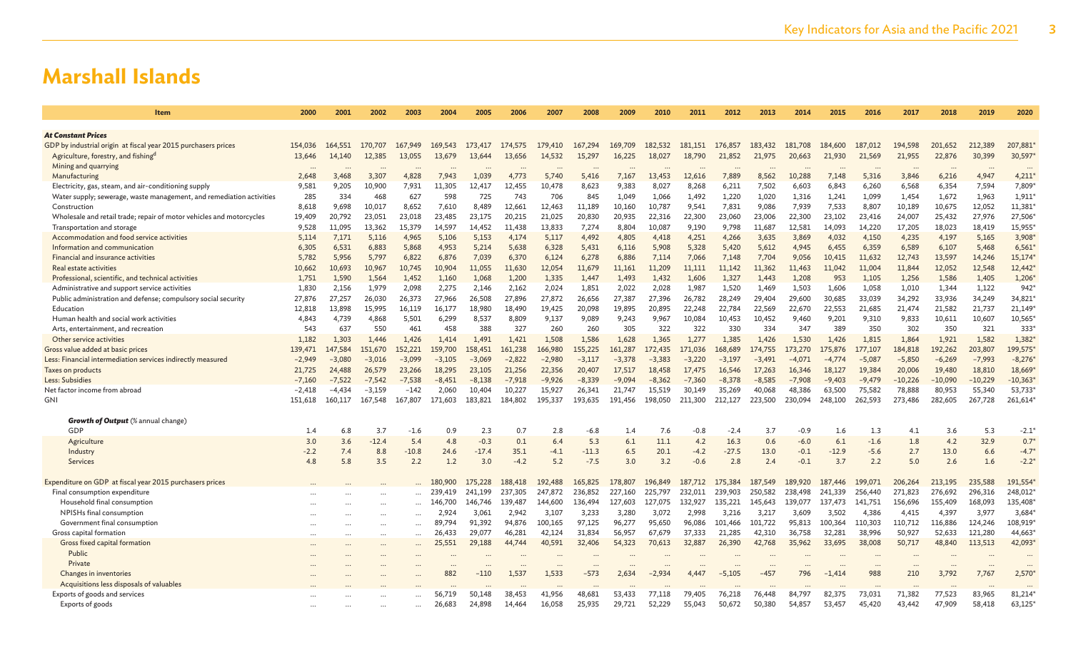| Item                                                                                                           | 2000           | 2001           | 2002            | 2003            | 2004             | 2005             | 2006               | 2007               | 2008               | 2009               | 2010             | 2011               | 2012               | 2013               | 2014               | 2015               | 2016               | 2017                     | 2018             | 2019             | 2020                 |
|----------------------------------------------------------------------------------------------------------------|----------------|----------------|-----------------|-----------------|------------------|------------------|--------------------|--------------------|--------------------|--------------------|------------------|--------------------|--------------------|--------------------|--------------------|--------------------|--------------------|--------------------------|------------------|------------------|----------------------|
|                                                                                                                |                |                |                 |                 |                  |                  |                    |                    |                    |                    |                  |                    |                    |                    |                    |                    |                    |                          |                  |                  |                      |
| <b>At Constant Prices</b>                                                                                      |                |                |                 |                 |                  |                  |                    |                    |                    |                    |                  |                    |                    |                    |                    |                    |                    |                          |                  |                  |                      |
| GDP by industrial origin at fiscal year 2015 purchasers prices                                                 | 154,036        | 164,551        | 170,707         | 167,949         | 169,543          | 173,417          | 174,575            | 179,410            | 167,294            | 169,709            | 182,532          | 181,151            | 176,857            | 183,432            | 181,708            | 184,600            | 187,012            | 194,598                  | 201,652          | 212,389          | 207,881              |
| Agriculture, forestry, and fishingd                                                                            | 13,646         | 14,140         | 12,385          | 13,055          | 13,679           | 13,644           | 13,656             | 14,532             | 15,297             | 16,225             | 18,027           | 18,790             | 21,852             | 21,975             | 20,663             | 21,930             | 21,569             | 21,955                   | 22,876           | 30,399           | 30,597               |
| Mining and quarrying                                                                                           |                |                |                 |                 |                  |                  |                    |                    |                    |                    |                  |                    |                    |                    |                    |                    |                    | $\overline{\phantom{a}}$ | $\ddotsc$        |                  | $\ddot{\phantom{a}}$ |
| Manufacturing                                                                                                  | 2,648          | 3,468          | 3,307           | 4,828           | 7,943            | 1,039            | 4,773              | 5,740              | 5,416              | 7,167              | 13,453           | 12,616             | 7,889              | 8,562              | 10,288             | 7,148              | 5,316              | 3,846                    | 6,216            | 4,947            | 4,211                |
| Electricity, gas, steam, and air-conditioning supply                                                           | 9,581          | 9,205          | 10.900          | 7.931           | 11,305           | 12.417           | 12,455             | 10,478             | 8.623              | 9.383              | 8,027            | 8.268              | 6.211              | 7,502              | 6,603              | 6.843              | 6,260              | 6,568                    | 6,354            | 7,594            | 7,809*               |
| Water supply; sewerage, waste management, and remediation activities                                           | 285            | 334            | 468             | 627             | 598              | 725              | 743                | 706                | 845                | 1.049              | 1.066            | 1.492              | 1,220              | 1.020              | 1.316              | 1.241              | 1,099              | 1.454                    | 1,672            | 1,963            | 1,911                |
| Construction                                                                                                   | 8,618          | 9,698          | 10,017          | 8,652           | 7,610            | 8,489            | 12,661             | 12,463             | 11,189             | 10,160             | 10,787           | 9,541              | 7,831              | 9,086              | 7,939              | 7,533              | 8,807              | 10,189                   | 10,675           | 12,052           | 11,381               |
| Wholesale and retail trade; repair of motor vehicles and motorcycles                                           | 19,409         | 20,792         | 23,051          | 23,018          | 23,485           | 23,175           | 20,215             | 21,025             | 20,830             | 20,935             | 22,316           | 22,300             | 23,060             | 23,006             | 22,300             | 23,102             | 23,416             | 24,007                   | 25,432           | 27,976           | 27,506               |
| Transportation and storage                                                                                     | 9,528          | 11,095         | 13.362          | 15,379          | 14,597           | 14,452           | 11,438             | 13,833             | 7,274              | 8,804              | 10,087           | 9.190              | 9,798              | 11,687             | 12,581             | 14,093             | 14,220             | 17,205                   | 18,023           | 18,419           | 15,955               |
| Accommodation and food service activities                                                                      | 5,114          | 7,171          | 5,116           | 4,965           | 5,106            | 5,153            | 4,174              | 5,117              | 4,492              | 4,805              | 4,418            | 4,251              | 4,266              | 3,635              | 3,869              | 4,032              | 4,150              | 4,235                    | 4,197            | 5,165            | 3,908                |
| Information and communication                                                                                  | 6,305          | 6,531          | 6,883           | 5,868           | 4,953            | 5,214            | 5,638              | 6,328              | 5,431              | 6,116              | 5,908            | 5,328              | 5,420              | 5,612              | 4,945              | 6,455              | 6,359              | 6,589                    | 6,107            | 5,468            | 6,561                |
| Financial and insurance activities                                                                             | 5.782          | 5,956          | 5,797           | 6,822           | 6,876            | 7,039            | 6,370              | 6,124              | 6,278              | 6,886              | 7,114            | 7.066              | 7,148              | 7,704              | 9,056              | 10,415             | 11,632             | 12.743                   | 13,597           | 14,246           | 15,174               |
| Real estate activities                                                                                         | 10,662         | 10,693         | 10,967          | 10,745          | 10,904           | 11,055           | 11,630             | 12,054             | 11,679             | 11,161             | 11,209           | 11,111             | 11,142             | 11,362             | 11,463             | 11,042             | 11,004             | 11,844                   | 12,052           | 12,548           | 12,442*              |
| Professional, scientific, and technical activities                                                             | 1,751<br>1.830 | 1,590<br>2,156 | 1,564           | 1,452           | 1,160<br>2,275   | 1,068            | 1,200              | 1,335<br>2,024     | 1,447              | 1,493              | 1,432<br>2,028   | 1,606              | 1,327<br>1,520     | 1,443              | 1,208              | 953                | 1,105<br>1,058     | 1,256                    | 1,586            | 1,405            | 1,206<br>942         |
| Administrative and support service activities<br>Public administration and defense; compulsory social security | 27,876         | 27,257         | 1,979<br>26,030 | 2,098<br>26,373 | 27,966           | 2,146<br>26,508  | 2,162<br>27,896    | 27,872             | 1,851<br>26,656    | 2,022<br>27,387    | 27,396           | 1,987<br>26,782    | 28,249             | 1,469<br>29,404    | 1,503<br>29,600    | 1,606<br>30,685    | 33,039             | 1,010<br>34,292          | 1,344<br>33,936  | 1,122<br>34,249  | 34,821               |
| Education                                                                                                      | 12.818         | 13,898         | 15,995          | 16,119          | 16,177           | 18,980           | 18,490             | 19,425             | 20,098             | 19,895             | 20,895           | 22,248             | 22,784             | 22,569             | 22,670             | 22,553             | 21,685             | 21,474                   | 21,582           | 21,737           | 21,149*              |
| Human health and social work activities                                                                        | 4.843          | 4,739          | 4,868           | 5,501           | 6,299            | 8,537            | 8,809              | 9,137              | 9,089              | 9,243              | 9,967            | 10,084             | 10,453             | 10,452             | 9,460              | 9,201              | 9,310              | 9,833                    | 10,611           | 10,607           | 10,565               |
| Arts, entertainment, and recreation                                                                            | 543            | 637            | 550             | 461             | 458              | 388              | 327                | 260                | 260                | 305                | 322              | 322                | 330                | 334                | 347                | 389                | 350                | 302                      | 350              | 321              | 333 <sup>'</sup>     |
| Other service activities                                                                                       | 1.182          | 1,303          | 1,446           | 1,426           | 1,414            | 1.491            | 1,421              | 1,508              | 1,586              | 1,628              | 1,365            | 1,277              | 1.385              | 1,426              | 1,530              | 1,426              | 1,815              | 1,864                    | 1,921            | 1,582            | 1,382                |
| Gross value added at basic prices                                                                              | 139,471        | 147.584        | 151,670         | 152,221         | 159,700          | 158,451          | 161,238            | 166,980            | 155,225            | 161,287            | 172,435          | 171.036            | 168,689            | 174,755            | 173,270            | 175,876            | 177,107            | 184,818                  | 192,262          | 203,807          | 199,575              |
| Less: Financial intermediation services indirectly measured                                                    | $-2,949$       | $-3,080$       | $-3,016$        | $-3,099$        | $-3,105$         | $-3,069$         | $-2,822$           | $-2,980$           | $-3,117$           | $-3,378$           | $-3,383$         | $-3,220$           | $-3,197$           | $-3,491$           | $-4,071$           | $-4,774$           | $-5,087$           | $-5,850$                 | $-6,269$         | $-7,993$         | $-8,276$             |
| Taxes on products                                                                                              | 21,725         | 24,488         | 26,579          | 23,266          | 18,295           | 23,105           | 21,256             | 22,356             | 20,407             | 17,517             | 18,458           | 17,475             | 16,546             | 17,263             | 16,346             | 18,127             | 19,384             | 20,006                   | 19,480           | 18,810           | 18,669               |
| Less: Subsidies                                                                                                | $-7,160$       | $-7,522$       | $-7,542$        | $-7,538$        | $-8,451$         | $-8,138$         | $-7,918$           | $-9,926$           | $-8,339$           | $-9,094$           | $-8,362$         | $-7,360$           | $-8,378$           | $-8,585$           | $-7.908$           | $-9,403$           | $-9,479$           | $-10,226$                | $-10,090$        | $-10,229$        | $-10,363$            |
| Net factor income from abroad                                                                                  | $-2,418$       | $-4,434$       | $-3,159$        | -142            | 2,060            | 10,404           | 10,227             | 15,927             | 26,341             | 21,747             | 15,519           | 30,149             | 35,269             | 40,068             | 48,386             | 63,500             | 75,582             | 78,888                   | 80,953           | 55,340           | 53,733               |
| <b>GNI</b>                                                                                                     | 151,618        | 160,117        | 167,548         | 167,807         | 171,603          | 183,821          | 184,802            | 195,337            | 193,635            | 191,456            | 198,050          | 211,300            | 212,127            | 223,500            | 230,094            | 248,100            | 262,593            | 273,486                  | 282,605          | 267,728          | 261,614              |
|                                                                                                                |                |                |                 |                 |                  |                  |                    |                    |                    |                    |                  |                    |                    |                    |                    |                    |                    |                          |                  |                  |                      |
| <b>Growth of Output</b> (% annual change)                                                                      |                |                |                 |                 |                  |                  |                    |                    |                    |                    |                  |                    |                    |                    |                    |                    |                    |                          |                  |                  |                      |
| GDP                                                                                                            | 1.4            | 6.8            | 3.7             | $-1.6$          | 0.9              | 2.3              | 0.7                | 2.8                | $-6.8$             | 1.4                | 7.6              | $-0.8$             | $-2.4$             | 3.7                | $-0.9$             | 1.6                | 1.3                | 4.1                      | 3.6              | 5.3              | $-2.1$               |
| Agriculture                                                                                                    | 3.0            | 3.6            | $-12.4$         | 5.4             | 4.8              | $-0.3$           | 0.1                | 6.4                | 5.3                | 6.1                | 11.1             | 4.2                | 16.3               | 0.6                | $-6.0$             | 6.1                | $-1.6$             | 1.8                      | 4.2              | 32.9             | $0.7*$               |
| Industry                                                                                                       | $-2.2$         | 7.4            | 8.8             | $-10.8$         | 24.6             | $-17.4$          | 35.1               | $-4.1$             | $-11.3$            | 6.5                | 20.1             | $-4.2$             | $-27.5$            | 13.0               | $-0.1$             | $-12.9$            | $-5.6$             | 2.7                      | 13.0             | 6.6              | $-4.7*$              |
| Services                                                                                                       | 4.8            | 5.8            | 3.5             | 2.2             | 1.2              | 3.0              | $-4.2$             | 5.2                | $-7.5$             | 3.0                | 3.2              | $-0.6$             | 2.8                | 2.4                | $-0.1$             | 3.7                | 2.2                | 5.0                      | 2.6              | 1.6              | $-2.2*$              |
|                                                                                                                |                |                |                 |                 |                  |                  |                    |                    |                    |                    |                  |                    |                    |                    |                    |                    |                    |                          |                  |                  |                      |
| Expenditure on GDP at fiscal year 2015 purchasers prices                                                       |                |                |                 |                 | 180,900          | 175,228          | 188,418            | 192,488            | 165,825            | 178,807            | 196,849          | 187,712            | 175,384            | 187,549            | 189,920            | 187,446            | 199,071            | 206,264                  | 213,195          | 235,588          | 191,554              |
| Final consumption expenditure<br>Household final consumption                                                   |                |                |                 |                 | 239,419          | 241,199          | 237,305<br>139,487 | 247,872<br>144,600 | 236,852<br>136,494 | 227,160<br>127,603 | 225.797          | 232.011<br>132.927 | 239,903<br>135.221 | 250,582<br>145,643 | 238,498<br>139,077 | 241,339<br>137,473 | 256,440<br>141,751 | 271.823<br>156,696       | 276,692          | 296,316          | 248,012<br>135,408   |
| NPISHs final consumption                                                                                       |                |                |                 |                 | 146,700<br>2,924 | 146.746<br>3.061 | 2,942              | 3,107              | 3,233              | 3,280              | 127,075<br>3,072 | 2,998              | 3,216              | 3,217              | 3,609              | 3,502              | 4,386              | 4,415                    | 155,409<br>4,397 | 168,093<br>3,977 | 3,684                |
| Government final consumption                                                                                   |                |                |                 |                 | 89.794           | 91.392           | 94.876             | 100,165            | 97.125             | 96.277             | 95,650           | 96,086             | 101,466            | 101,722            | 95,813             | 100,364            | 110,303            | 110,712                  | 116,886          | 124,246          | 108,919              |
| Gross capital formation                                                                                        |                |                |                 |                 | 26,433           | 29,077           | 46,281             | 42,124             | 31,834             | 56,957             | 67,679           | 37,333             | 21,285             | 42,310             | 36,758             | 32,281             | 38,996             | 50,927                   | 52,633           | 121,280          | 44,663               |
| Gross fixed capital formation                                                                                  |                |                |                 |                 | 25,551           | 29,188           | 44,744             | 40,591             | 32,406             | 54,323             | 70,613           | 32,887             | 26,390             | 42,768             | 35,962             | 33,695             | 38,008             | 50,717                   | 48,840           | 113,513          | 42,093               |
| Public                                                                                                         |                |                | $\cdots$        |                 |                  |                  |                    |                    |                    |                    |                  |                    |                    |                    |                    |                    |                    |                          |                  |                  |                      |
| Private                                                                                                        |                |                |                 |                 |                  |                  |                    |                    |                    |                    |                  |                    |                    |                    |                    |                    |                    |                          |                  |                  | $\ddot{\phantom{a}}$ |
| Changes in inventories                                                                                         |                |                |                 |                 | 882              | $-110$           | 1,537              | 1,533              | -573               | 2,634              | $-2,934$         | 4.447              | $-5,105$           | $-457$             | 796                | $-1,414$           | 988                | 210                      | 3,792            | 7,767            | 2,570                |
| Acquisitions less disposals of valuables                                                                       |                |                |                 |                 |                  |                  |                    |                    |                    |                    |                  |                    |                    |                    |                    |                    |                    |                          |                  |                  | $\ddot{\phantom{a}}$ |
| Exports of goods and services                                                                                  |                |                |                 |                 | 56.719           | 50.148           | 38.453             | 41,956             | 48,681             | 53.433             | 77.118           | 79,405             | 76,218             | 76,448             | 84,797             | 82.375             | 73,031             | 71.382                   | 77.523           | 83.965           | 81,214               |
| Exports of goods                                                                                               |                |                |                 |                 | 26,683           | 24,898           | 14,464             | 16,058             | 25,935             | 29,721             | 52,229           | 55,043             | 50,672             | 50,380             | 54,857             | 53,457             | 45,420             | 43,442                   | 47,909           | 58,418           | 63,125               |
|                                                                                                                |                |                |                 |                 |                  |                  |                    |                    |                    |                    |                  |                    |                    |                    |                    |                    |                    |                          |                  |                  |                      |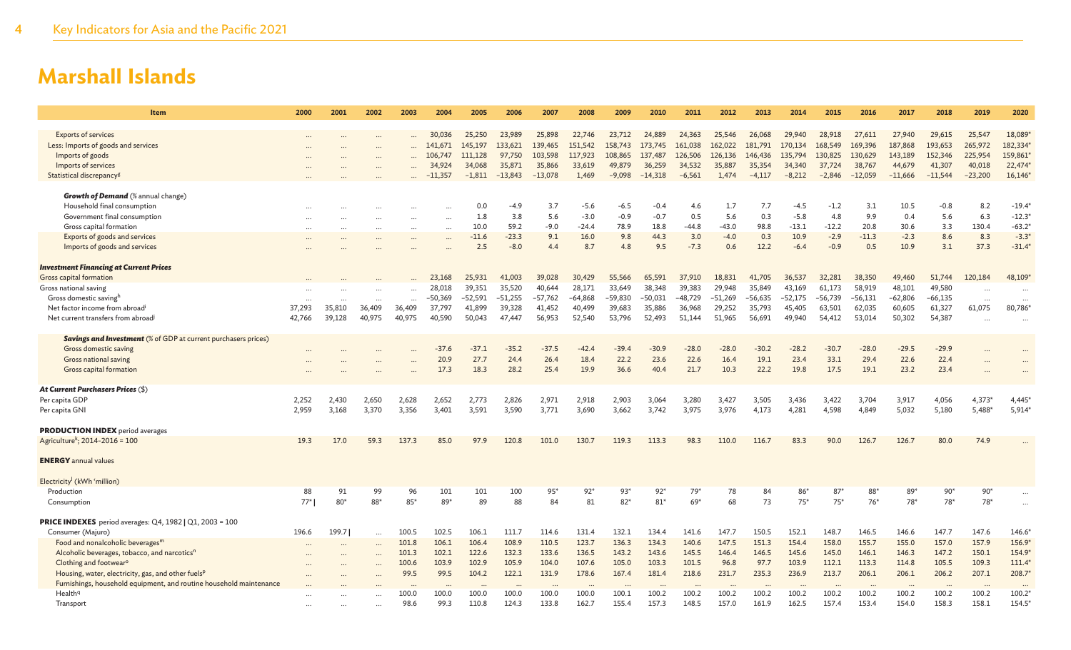| Item                                                                  | 2000      | 2001      | 2002     | 2003                 | 2004                 | 2005                 | 2006         | 2007         | 2008         | 2009         | 2010         | 2011         | 2012         | 2013         | 2014                 | 2015         | 2016                 | 2017         | 2018         | 2019      | 2020                     |
|-----------------------------------------------------------------------|-----------|-----------|----------|----------------------|----------------------|----------------------|--------------|--------------|--------------|--------------|--------------|--------------|--------------|--------------|----------------------|--------------|----------------------|--------------|--------------|-----------|--------------------------|
|                                                                       |           |           |          |                      |                      |                      |              |              |              |              |              |              |              |              |                      |              |                      |              |              |           |                          |
| <b>Exports of services</b>                                            |           |           |          |                      | 30,036               | 25,250               | 23,989       | 25,898       | 22,746       | 23,712       | 24,889       | 24,363       | 25,546       | 26,068       | 29,940               | 28,918       | 27,611               | 27,940       | 29,615       | 25,547    | 18,089                   |
| Less: Imports of goods and services                                   |           |           |          |                      | 141,671              | 145,197              | 133,621      | 139,465      | 151,542      | 158,743      | 173,745      | 161,038      | 162,022      | 181,791      | 170,134              | 168,549      | 169,396              | 187,868      | 193,653      | 265,972   | 182,334                  |
| Imports of goods                                                      |           |           | $\cdots$ |                      | 106,747              | 111,128              | 97,750       | 103,598      | 117,923      | 108,865      | 137,487      | 126,506      | 126,136      | 146,436      | 135,794              | 130,825      | 130,629              | 143,189      | 152,346      | 225,954   | 159,861                  |
| Imports of services                                                   |           |           |          |                      | 34,924               | 34,068               | 35,871       | 35,866       | 33,619       | 49,879       | 36,259       | 34,532       | 35,887       | 35,354       | 34,340               | 37,724       | 38,767               | 44,679       | 41,307       | 40,018    | 22,474                   |
| Statistical discrepancy <sup>g</sup>                                  |           |           |          |                      | $-11,357$            | $-1,811$             | $-13,843$    | $-13,078$    | 1,469        | $-9,098$     | $-14,318$    | $-6,561$     | 1,474        | $-4,117$     | $-8,212$             | $-2,846$     | $-12,059$            | $-11,666$    | $-11,544$    | $-23,200$ | 16,146                   |
| <b>Growth of Demand</b> (% annual change)                             |           |           |          |                      |                      |                      |              |              |              |              |              |              |              |              |                      |              |                      |              |              |           |                          |
| Household final consumption                                           |           |           |          |                      |                      | 0.0                  | $-4.9$       | 3.7          | $-5.6$       | $-6.5$       | $-0.4$       | 4.6          | 1.7          | 7.7          | $-4.5$               | $-1.2$       | 3.1                  | 10.5         | $-0.8$       | 8.2       | $-19.4$                  |
| Government final consumption                                          |           |           |          | $\ddotsc$            | $\ddot{\phantom{a}}$ | 1.8                  | 3.8          | 5.6          | $-3.0$       | $-0.9$       | $-0.7$       | 0.5          | 5.6          | 0.3          | $-5.8$               | 4.8          | 9.9                  | 0.4          | 5.6          | 6.3       | $-12.3$                  |
| Gross capital formation                                               |           |           |          | $\cdots$             | $\cdots$             | 10.0                 | 59.2         | $-9.0$       | $-24.4$      | 78.9         | 18.8         | $-44.8$      | $-43.0$      | 98.8         | $-13.1$              | $-12.2$      | 20.8                 | 30.6         | 3.3          | 130.4     | $-63.2$                  |
| Exports of goods and services                                         |           |           |          | $\cdots$             | $\cdots$             | $-11.6$              | $-23.3$      | 9.1          | 16.0         | 9.8          | 44.3         | 3.0          | $-4.0$       | 0.3          | 10.9                 | $-2.9$       | $-11.3$              | $-2.3$       | 8.6          | 8.3       | $-3.3$                   |
| Imports of goods and services                                         |           |           |          |                      |                      | 2.5                  | $-8.0$       | 4.4          | 8.7          | 4.8          | 9.5          | $-7.3$       | 0.6          | 12.2         | $-6.4$               | $-0.9$       | 0.5                  | 10.9         | 3.1          | 37.3      | $-31.4$                  |
|                                                                       |           |           |          |                      |                      |                      |              |              |              |              |              |              |              |              |                      |              |                      |              |              |           |                          |
| <b>Investment Financing at Current Prices</b>                         |           |           |          |                      |                      |                      |              |              |              |              |              |              |              |              |                      |              |                      |              |              |           |                          |
| Gross capital formation                                               |           |           |          |                      | 23,168               | 25,931               | 41,003       | 39,028       | 30,429       | 55,566       | 65,591       | 37,910       | 18,831       | 41,705       | 36,537               | 32,281       | 38,350               | 49,460       | 51,744       | 120,184   | 48,109*                  |
| Gross national saving                                                 |           |           |          |                      | 28,018               | 39,351               | 35,520       | 40,644       | 28,171       | 33,649       | 38,348       | 39,383       | 29,948       | 35,849       | 43,169               | 61,173       | 58,919               | 48,101       | 49,580       | $\cdots$  |                          |
| Gross domestic savingh                                                | $\ddotsc$ | $\ddotsc$ | $\cdots$ | $\ddot{\phantom{a}}$ | $-50,369$            | -52,591              | -51,255      | $-57,762$    | $-64.868$    | -59,830      | $-50,031$    | $-48,729$    | -51,269      | -56,635      | $-52,175$            | -56,739      | $-56,131$            | $-62,806$    | $-66,135$    | $\cdots$  | $\cdots$                 |
| Net factor income from abroad <sup>i</sup>                            | 37,293    | 35,810    | 36,409   | 36,409               | 37,797               | 41,899               | 39,328       | 41,452       | 40,499       | 39,683       | 35,886       | 36,968       | 29,252       | 35,793       | 45,405               | 63,501       | 62,035               | 60,605       | 61,327       | 61,075    | 80,786*                  |
| Net current transfers from abroad <sup>j</sup>                        | 42.766    | 39,128    | 40,975   | 40.975               | 40,590               | 50,043               | 47,447       | 56,953       | 52,540       | 53,796       | 52,493       | 51,144       | 51,965       | 56,691       | 49,940               | 54,412       | 53,014               | 50,302       | 54,387       |           | $\ddotsc$                |
|                                                                       |           |           |          |                      |                      |                      |              |              |              |              |              |              |              |              |                      |              |                      |              |              |           |                          |
| <b>Savings and Investment</b> (% of GDP at current purchasers prices) |           |           |          |                      |                      | $-37.1$              |              |              |              |              |              |              |              |              |                      |              |                      |              |              |           |                          |
| Gross domestic saving                                                 |           |           |          |                      | $-37.6$              |                      | $-35.2$      | $-37.5$      | $-42.4$      | $-39.4$      | $-30.9$      | $-28.0$      | $-28.0$      | $-30.2$      | $-28.2$              | $-30.7$      | $-28.0$              | $-29.5$      | $-29.9$      |           |                          |
| Gross national saving                                                 |           |           |          |                      | 20.9<br>17.3         | 27.7<br>18.3         | 24.4<br>28.2 | 26.4<br>25.4 | 18.4<br>19.9 | 22.2<br>36.6 | 23.6<br>40.4 | 22.6<br>21.7 | 16.4<br>10.3 | 19.1<br>22.2 | 23.4<br>19.8         | 33.1<br>17.5 | 29.4<br>19.1         | 22.6<br>23.2 | 22.4<br>23.4 |           |                          |
| Gross capital formation                                               |           |           |          |                      |                      |                      |              |              |              |              |              |              |              |              |                      |              |                      |              |              |           |                          |
| At Current Purchasers Prices (\$)                                     |           |           |          |                      |                      |                      |              |              |              |              |              |              |              |              |                      |              |                      |              |              |           |                          |
| Per capita GDP                                                        | 2,252     | 2,430     | 2,650    | 2,628                | 2,652                | 2,773                | 2,826        | 2,971        | 2,918        | 2,903        | 3,064        | 3,280        | 3,427        | 3,505        | 3,436                | 3,422        | 3,704                | 3,917        | 4,056        | $4,373*$  | 4,445*                   |
| Per capita GNI                                                        | 2,959     | 3,168     | 3,370    | 3,356                | 3,401                | 3,591                | 3,590        | 3,771        | 3,690        | 3,662        | 3,742        | 3,975        | 3,976        | 4,173        | 4.281                | 4.598        | 4,849                | 5,032        | 5,180        | 5,488*    | $5,914*$                 |
|                                                                       |           |           |          |                      |                      |                      |              |              |              |              |              |              |              |              |                      |              |                      |              |              |           |                          |
| <b>PRODUCTION INDEX</b> period averages                               |           |           |          |                      |                      |                      |              |              |              |              |              |              |              |              |                      |              |                      |              |              |           |                          |
| Agriculture <sup>k</sup> ; 2014-2016 = 100                            | 19.3      | 17.0      | 59.3     | 137.3                | 85.0                 | 97.9                 | 120.8        | 101.0        | 130.7        | 119.3        | 113.3        | 98.3         | 110.0        | 116.7        | 83.3                 | 90.0         | 126.7                | 126.7        | 80.0         | 74.9      |                          |
|                                                                       |           |           |          |                      |                      |                      |              |              |              |              |              |              |              |              |                      |              |                      |              |              |           |                          |
| <b>ENERGY</b> annual values                                           |           |           |          |                      |                      |                      |              |              |              |              |              |              |              |              |                      |              |                      |              |              |           |                          |
| Electricity <sup>l</sup> (kWh 'million)                               |           |           |          |                      |                      |                      |              |              |              |              |              |              |              |              |                      |              |                      |              |              |           |                          |
| Production                                                            | 88        | 91        | 99       | 96                   | 101                  | 101                  | 100          | $95*$        | $92*$        | $93*$        | $92*$        | $79*$        | 78           | 84           | $86*$                | $87*$        | $88*$                | 89*          | $90*$        | $90*$     |                          |
| Consumption                                                           | $77*$     | $80*$     | 88*      | 85*                  | 89*                  | 89                   | 88           | 84           | 81           | $82*$        | $81*$        | $69*$        | 68           | 73           | $75*$                | $75*$        | $76*$                | 78*          | 78*          | $78*$     | $\ddots$                 |
|                                                                       |           |           |          |                      |                      |                      |              |              |              |              |              |              |              |              |                      |              |                      |              |              |           |                          |
| <b>PRICE INDEXES</b> period averages: $Q4$ , 1982   $Q1$ , 2003 = 100 |           |           |          |                      |                      |                      |              |              |              |              |              |              |              |              |                      |              |                      |              |              |           |                          |
| Consumer (Majuro)                                                     | 196.6     | 199.7     | $\cdots$ | 100.5                | 102.5                | 106.1                | 111.7        | 114.6        | 131.4        | 132.1        | 134.4        | 141.6        | 147.7        | 150.5        | 152.1                | 148.7        | 146.5                | 146.6        | 147.7        | 147.6     | 146.6                    |
| Food and nonalcoholic beverages <sup>m</sup>                          |           |           |          | 101.8                | 106.1                | 106.4                | 108.9        | 110.5        | 123.7        | 136.3        | 134.3        | 140.6        | 147.5        | 151.3        | 154.4                | 158.0        | 155.7                | 155.0        | 157.0        | 157.9     | 156.9*                   |
| Alcoholic beverages, tobacco, and narcotics <sup>n</sup>              |           |           |          | 101.3                | 102.1                | 122.6                | 132.3        | 133.6        | 136.5        | 143.2        | 143.6        | 145.5        | 146.4        | 146.5        | 145.6                | 145.0        | 146.1                | 146.3        | 147.2        | 150.1     | 154.9                    |
| Clothing and footwear <sup>o</sup>                                    |           |           |          | 100.6                | 103.9                | 102.9                | 105.9        | 104.0        | 107.6        | 105.0        | 103.3        | 101.5        | 96.8         | 97.7         | 103.9                | 112.1        | 113.3                | 114.8        | 105.5        | 109.3     | 111.4                    |
| Housing, water, electricity, gas, and other fuels <sup>p</sup>        |           |           |          | 99.5                 | 99.5                 | 104.2                | 122.1        | 131.9        | 178.6        | 167.4        | 181.4        | 218.6        | 231.7        | 235.3        | 236.9                | 213.7        | 206.1                | 206.1        | 206.2        | 207.1     | 208.7                    |
| Furnishings, household equipment, and routine household maintenance   |           |           |          | $\cdots$             |                      | $\ddot{\phantom{a}}$ |              |              | $\ddotsc$    |              | $\ddotsc$    | $\ddotsc$    |              |              | $\ddot{\phantom{a}}$ |              | $\ddot{\phantom{0}}$ | $\cdots$     | $\ddotsc$    |           | $\overline{\phantom{a}}$ |
| Health <sup>q</sup>                                                   |           |           |          | 100.0                | 100.0                | 100.0                | 100.0        | 100.0        | 100.0        | 100.1        | 100.2        | 100.2        | 100.2        | 100.2        | 100.2                | 100.2        | 100.2                | 100.2        | 100.2        | 100.2     | 100.2                    |
| Transport                                                             |           |           | $\cdots$ | 98.6                 | 99.3                 | 110.8                | 124.3        | 133.8        | 162.7        | 155.4        | 157.3        | 148.5        | 157.0        | 161.9        | 162.5                | 157.4        | 153.4                | 154.0        | 158.3        | 158.1     | 154.5                    |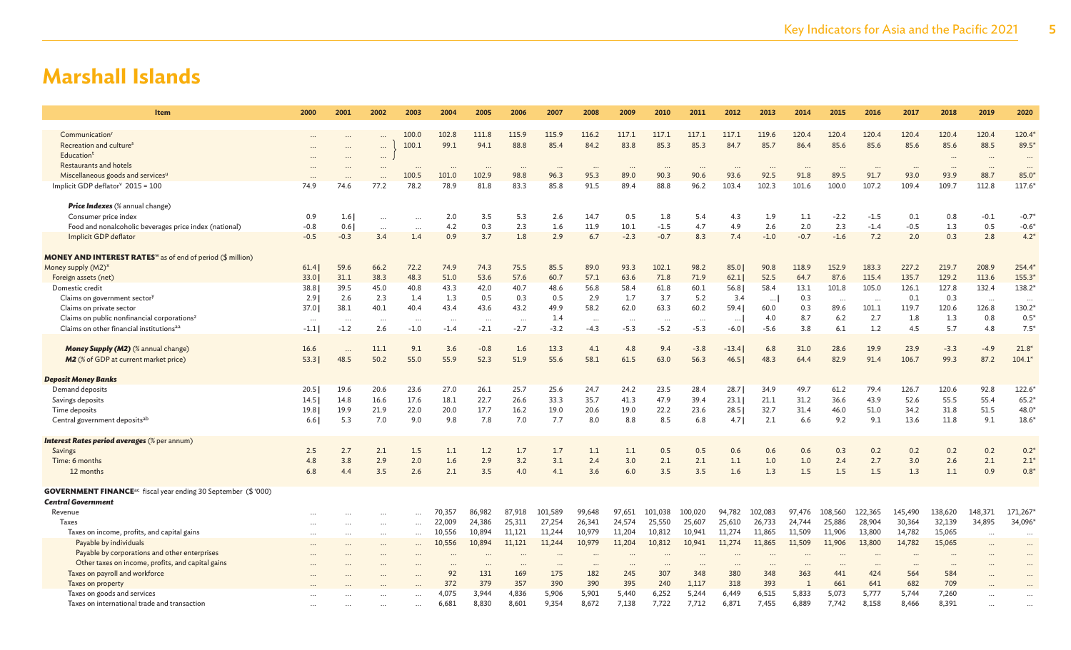| Item                                                                              | 2000     | 2001      | 2002     | 2003      | 2004      | 2005     | 2006      | 2007     | 2008      | 2009     | 2010     | 2011     | 2012     | 2013     | 2014   | 2015     | 2016      | 2017     | 2018     | 2019     | 2020                 |
|-----------------------------------------------------------------------------------|----------|-----------|----------|-----------|-----------|----------|-----------|----------|-----------|----------|----------|----------|----------|----------|--------|----------|-----------|----------|----------|----------|----------------------|
| Communication <sup>r</sup>                                                        |          |           |          | 100.0     | 102.8     | 111.8    | 115.9     | 115.9    | 116.2     | 117.1    | 117.1    | 117.1    | 117.1    | 119.6    | 120.4  | 120.4    | 120.4     | 120.4    | 120.4    | 120.4    | 120.4*               |
| Recreation and culture <sup>s</sup>                                               |          |           |          | 100.1     | 99.1      | 94.1     | 88.8      | 85.4     | 84.2      | 83.8     | 85.3     | 85.3     | 84.7     | 85.7     | 86.4   | 85.6     | 85.6      | 85.6     | 85.6     | 88.5     | 89.5*                |
| Education <sup>t</sup>                                                            |          | $\ddotsc$ | $\cdots$ |           |           |          |           |          |           |          |          |          |          |          |        |          |           |          |          |          |                      |
| <b>Restaurants and hotels</b>                                                     |          |           |          |           |           |          |           |          |           |          |          |          |          |          |        |          |           |          |          |          | $\ddotsc$            |
|                                                                                   |          |           |          |           |           |          | $\ddotsc$ |          | $\cdots$  |          |          | $\cdots$ |          |          |        | 89.5     |           |          |          |          | $\ddotsc$            |
| Miscellaneous goods and services"                                                 |          |           | 77.2     | 100.5     | 101.0     | 102.9    | 98.8      | 96.3     | 95.3      | 89.0     | 90.3     | 90.6     | 93.6     | 92.5     | 91.8   |          | 91.7      | 93.0     | 93.9     | 88.7     | $85.0*$              |
| Implicit GDP deflator <sup>y</sup> 2015 = 100                                     | 74.9     | 74.6      |          | 78.2      | 78.9      | 81.8     | 83.3      | 85.8     | 91.5      | 89.4     | 88.8     | 96.2     | 103.4    | 102.3    | 101.6  | 100.0    | 107.2     | 109.4    | 109.7    | 112.8    | 117.6*               |
| <b>Price Indexes</b> (% annual change)                                            |          |           |          |           |           |          |           |          |           |          |          |          |          |          |        |          |           |          |          |          |                      |
| Consumer price index                                                              | 0.9      | 1.6       |          | $\ddotsc$ | 2.0       | 3.5      | 5.3       | 2.6      | 14.7      | 0.5      | 1.8      | 5.4      | 4.3      | 1.9      | 1.1    | $-2.2$   | $-1.5$    | 0.1      | 0.8      | $-0.1$   | $-0.7*$              |
| Food and nonalcoholic beverages price index (national)                            | $-0.8$   | 0.6       | $\cdots$ |           | 4.2       | 0.3      | 2.3       | 1.6      | 11.9      | 10.1     | $-1.5$   | 4.7      | 4.9      | 2.6      | 2.0    | 2.3      | $-1.4$    | $-0.5$   | 1.3      | 0.5      | $-0.6*$              |
| Implicit GDP deflator                                                             | $-0.5$   | $-0.3$    | 3.4      | 1.4       | 0.9       | 3.7      | 1.8       | 2.9      | 6.7       | $-2.3$   | $-0.7$   | 8.3      | 7.4      | $-1.0$   | $-0.7$ | $-1.6$   | 7.2       | 2.0      | 0.3      | 2.8      | $4.2*$               |
| <b>MONEY AND INTEREST RATES</b> <sup>w</sup> as of end of period (\$ million)     |          |           |          |           |           |          |           |          |           |          |          |          |          |          |        |          |           |          |          |          |                      |
| Money supply (M2) <sup>x</sup>                                                    | 61.4     | 59.6      | 66.2     | 72.2      | 74.9      | 74.3     | 75.5      | 85.5     | 89.0      | 93.3     | 102.1    | 98.2     | 85.0     | 90.8     | 118.9  | 152.9    | 183.3     | 227.2    | 219.7    | 208.9    | 254.4*               |
| Foreign assets (net)                                                              | 33.0     | 31.1      | 38.3     | 48.3      | 51.0      | 53.6     | 57.6      | 60.7     | 57.1      | 63.6     | 71.8     | 71.9     | 62.1     | 52.5     | 64.7   | 87.6     | 115.4     | 135.7    | 129.2    | 113.6    | 155.3*               |
| Domestic credit                                                                   | 38.8     | 39.5      | 45.0     | 40.8      | 43.3      | 42.0     | 40.7      | 48.6     | 56.8      | 58.4     | 61.8     | 60.1     | 56.8     | 58.4     | 13.1   | 101.8    | 105.0     | 126.1    | 127.8    | 132.4    | 138.2*               |
| Claims on government sector <sup>y</sup>                                          | 2.91     | 2.6       | 2.3      | 1.4       | 1.3       | 0.5      | 0.3       | 0.5      | 2.9       | 1.7      | 3.7      | 5.2      | 3.4      | $\cdots$ | 0.3    | $\ddots$ | $\ddotsc$ | 0.1      | 0.3      | $\cdots$ | $\ddotsc$            |
| Claims on private sector                                                          | 37.0     | 38.1      | 40.1     | 40.4      | 43.4      | 43.6     | 43.2      | 49.9     | 58.2      | 62.0     | 63.3     | 60.2     | 59.4     | 60.0     | 0.3    | 89.6     | 101.1     | 119.7    | 120.6    | 126.8    | 130.2*               |
| Claims on public nonfinancial corporations <sup>z</sup>                           | $\ddots$ |           | $\cdots$ | $\cdot$ . | $\cdots$  | $\ddots$ | $\cdots$  | 1.4      | $\cdots$  | $\cdots$ | $\ddots$ | $\ddots$ | $\cdots$ | 4.0      | 8.7    | 6.2      | 2.7       | 1.8      | 1.3      | 0.8      | $0.5*$               |
| Claims on other financial institutionsaa                                          | $-1.1$   | $-1.2$    | 2.6      | $-1.0$    | $-1.4$    | $-2.1$   | $-2.7$    | $-3.2$   | $-4.3$    | $-5.3$   | $-5.2$   | $-5.3$   | $-6.0$   | $-5.6$   | 3.8    | 6.1      | 1.2       | 4.5      | 5.7      | 4.8      | $7.5*$               |
|                                                                                   |          |           |          |           |           |          |           |          |           |          |          |          |          |          |        |          |           |          |          |          |                      |
| Money Supply (M2) (% annual change)                                               | 16.6     |           | 11.1     | 9.1       | 3.6       | $-0.8$   | 1.6       | 13.3     | 4.1       | 4.8      | 9.4      | $-3.8$   | $-13.4$  | 6.8      | 31.0   | 28.6     | 19.9      | 23.9     | $-3.3$   | $-4.9$   | $21.8*$              |
| M2 (% of GDP at current market price)                                             | 53.3     | 48.5      | 50.2     | 55.0      | 55.9      | 52.3     | 51.9      | 55.6     | 58.1      | 61.5     | 63.0     | 56.3     | 46.5     | 48.3     | 64.4   | 82.9     | 91.4      | 106.7    | 99.3     | 87.2     | 104.1'               |
|                                                                                   |          |           |          |           |           |          |           |          |           |          |          |          |          |          |        |          |           |          |          |          |                      |
| <b>Deposit Money Banks</b>                                                        |          |           |          |           |           |          |           |          |           |          |          |          |          |          |        |          |           |          |          |          |                      |
| Demand deposits                                                                   | 20.5     | 19.6      | 20.6     | 23.6      | 27.0      | 26.1     | 25.7      | 25.6     | 24.7      | 24.2     | 23.5     | 28.4     | 28.7     | 34.9     | 49.7   | 61.2     | 79.4      | 126.7    | 120.6    | 92.8     | 122.6*               |
| Savings deposits                                                                  | 14.5     | 14.8      | 16.6     | 17.6      | 18.1      | 22.7     | 26.6      | 33.3     | 35.7      | 41.3     | 47.9     | 39.4     | 23.1     | 21.1     | 31.2   | 36.6     | 43.9      | 52.6     | 55.5     | 55.4     | $65.2*$              |
| Time deposits                                                                     | 19.8     | 19.9      | 21.9     | 22.0      | 20.0      | 17.7     | 16.2      | 19.0     | 20.6      | 19.0     | 22.2     | 23.6     | 28.5     | 32.7     | 31.4   | 46.0     | 51.0      | 34.2     | 31.8     | 51.5     | 48.0                 |
| Central government deposits <sup>ab</sup>                                         | 6.6      | 5.3       | 7.0      | 9.0       | 9.8       | 7.8      | 7.0       | 7.7      | 8.0       | 8.8      | 8.5      | 6.8      | 4.7      | 2.1      | 6.6    | 9.2      | 9.1       | 13.6     | 11.8     | 9.1      | $18.6*$              |
|                                                                                   |          |           |          |           |           |          |           |          |           |          |          |          |          |          |        |          |           |          |          |          |                      |
| <b>Interest Rates period averages</b> (% per annum)                               |          |           |          |           |           |          |           |          |           |          |          |          |          |          |        |          |           |          |          |          |                      |
| Savings                                                                           | 2.5      | 2.7       | 2.1      | 1.5       | 1.1       | 1.2      | 1.7       | 1.7      | 1.1       | 1.1      | 0.5      | 0.5      | 0.6      | 0.6      | 0.6    | 0.3      | 0.2       | 0.2      | 0.2      | 0.2      | $0.2*$               |
| Time: 6 months                                                                    | 4.8      | 3.8       | 2.9      | 2.0       | 1.6       | 2.9      | 3.2       | 3.1      | 2.4       | 3.0      | 2.1      | 2.1      | 1.1      | 1.0      | 1.0    | 2.4      | 2.7       | 3.0      | 2.6      | 2.1      | $2.1*$               |
| 12 months                                                                         | 6.8      | 4.4       | 3.5      | 2.6       | 2.1       | 3.5      | 4.0       | 4.1      | 3.6       | 6.0      | 3.5      | 3.5      | 1.6      | 1.3      | 1.5    | 1.5      | 1.5       | 1.3      | 1.1      | 0.9      | $0.8*$               |
| <b>GOVERNMENT FINANCE</b> <sup>ac</sup> fiscal year ending 30 September (\$ '000) |          |           |          |           |           |          |           |          |           |          |          |          |          |          |        |          |           |          |          |          |                      |
| Central Government                                                                |          |           |          |           |           |          |           |          |           |          |          |          |          |          |        |          |           |          |          |          |                      |
| Revenue                                                                           |          |           |          |           | 70,357    | 86,982   | 87,918    | 101,589  | 99,648    | 97,651   | 101,038  | 100,020  | 94,782   | 102,083  | 97,476 | 108,560  | 122,365   | 145,490  | 138,620  | 148,371  | 171,267              |
| Taxes                                                                             |          |           |          |           | 22,009    | 24,386   | 25,311    | 27,254   | 26,341    | 24,574   | 25,550   | 25,607   | 25,610   | 26,733   | 24,744 | 25,886   | 28,904    | 30,364   | 32,139   | 34,895   | 34,096               |
| Taxes on income, profits, and capital gains                                       |          |           |          | $\cdots$  | 10,556    | 10,894   | 11,121    | 11,244   | 10,979    | 11,204   | 10,812   | 10,941   | 11,274   | 11,865   | 11,509 | 11,906   | 13,800    | 14,782   | 15,065   |          | $\ddot{\phantom{a}}$ |
| Payable by individuals                                                            |          |           |          |           | 10,556    | 10,894   | 11,121    | 11,244   | 10,979    | 11,204   | 10,812   | 10,941   | 11,274   | 11,865   | 11,509 | 11,906   | 13,800    | 14,782   | 15,065   |          |                      |
| Payable by corporations and other enterprises                                     |          |           |          |           |           |          |           |          |           |          |          |          |          |          |        |          |           |          |          |          |                      |
| Other taxes on income, profits, and capital gains                                 |          |           |          |           | $\ddotsc$ |          | $\cdots$  | $\cdots$ | $\ddotsc$ | $\cdots$ | $\cdots$ | $\cdots$ | $\cdots$ |          |        | $\cdots$ | $\cdots$  | $\cdots$ | $\cdots$ |          |                      |
| Taxes on payroll and workforce                                                    |          |           |          |           | 92        | 131      | 169       | 175      | 182       | 245      | 307      | 348      | 380      | 348      | 363    | 441      | 424       | 564      | 584      |          |                      |
| Taxes on property                                                                 |          |           |          |           | 372       | 379      | 357       | 390      | 390       | 395      | 240      | 1,117    | 318      | 393      | -1     | 661      | 641       | 682      | 709      |          |                      |
| Taxes on goods and services                                                       |          |           |          |           | 4,075     | 3,944    | 4,836     | 5,906    | 5,901     | 5,440    | 6,252    | 5,244    | 6,449    | 6,515    | 5,833  | 5,073    | 5,777     | 5,744    | 7,260    |          |                      |
| Taxes on international trade and transaction                                      |          |           |          |           | 6,681     | 8,830    | 8,601     | 9,354    | 8,672     | 7,138    | 7,722    | 7,712    | 6,871    | 7,455    | 6,889  | 7,742    | 8,158     | 8,466    | 8,391    |          |                      |
|                                                                                   |          |           |          |           |           |          |           |          |           |          |          |          |          |          |        |          |           |          |          |          |                      |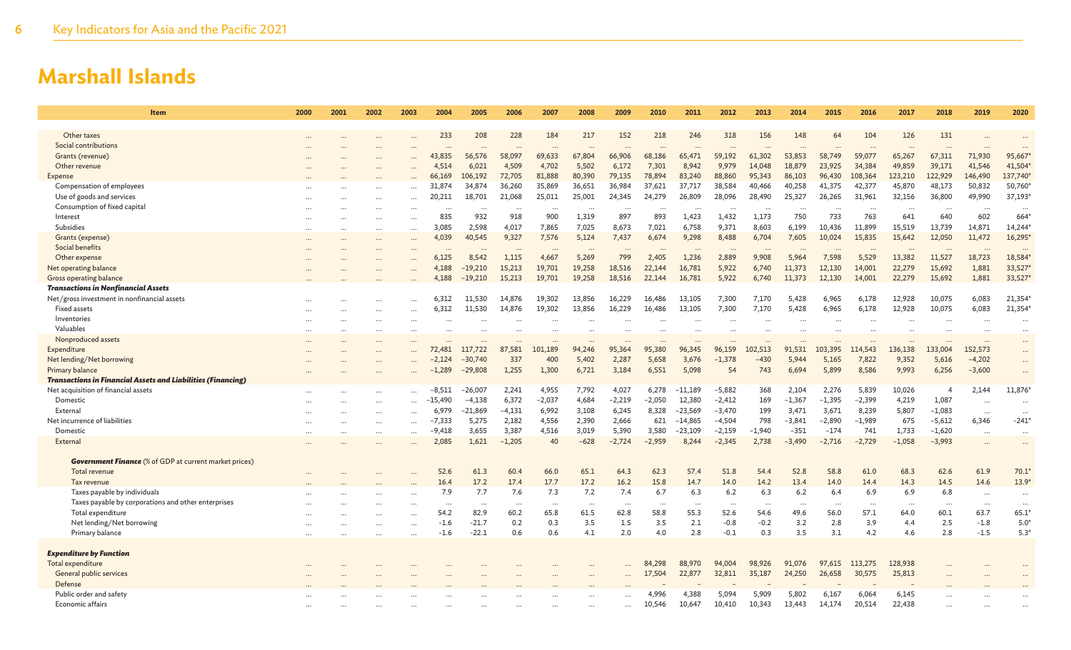| Item                                                                           | 2000     | 2001     | 2002      | 2003      | 2004      | 2005      | 2006     | 2007      | 2008     | 2009     | 2010      | 2011      | 2012     | 2013     | 2014      | 2015     | 2016      | 2017     | 2018           | 2019     | 2020                 |
|--------------------------------------------------------------------------------|----------|----------|-----------|-----------|-----------|-----------|----------|-----------|----------|----------|-----------|-----------|----------|----------|-----------|----------|-----------|----------|----------------|----------|----------------------|
|                                                                                |          |          |           |           |           |           |          |           |          |          |           |           |          |          |           |          | 104       |          |                |          |                      |
| Other taxes<br>Social contributions                                            |          |          |           |           | 233       | 208       | 228      | 184       | 217      | 152      | 218       | 246       | 318      | 156      | 148       | 64       |           | 126      | 131            |          |                      |
|                                                                                |          |          |           | $\ddotsc$ | $\ddots$  |           |          | $\ddotsc$ |          |          |           |           |          |          | $\ddotsc$ |          | $\ddotsc$ | $\cdots$ |                |          |                      |
| Grants (revenue)                                                               |          |          |           |           | 43,835    | 56,576    | 58,097   | 69,633    | 67,804   | 66,906   | 68,186    | 65,471    | 59,192   | 61,302   | 53,853    | 58,749   | 59,077    | 65,267   | 67,311         | 71,930   | 95,667               |
| Other revenue                                                                  |          |          |           |           | 4,514     | 6,021     | 4,509    | 4,702     | 5,502    | 6,172    | 7,301     | 8,942     | 9,979    | 14,048   | 18,879    | 23,925   | 34,384    | 49,859   | 39,171         | 41,546   | 41,504               |
| Expense                                                                        |          |          |           |           | 66,169    | 106,192   | 72,705   | 81,888    | 80,390   | 79,135   | 78,894    | 83,240    | 88,860   | 95,343   | 86,103    | 96,430   | 108,364   | 123,210  | 122,929        | 146,490  | 137,740              |
| Compensation of employees                                                      |          |          |           |           | 31,874    | 34,874    | 36,260   | 35,869    | 36,651   | 36,984   | 37,621    | 37,717    | 38,584   | 40,466   | 40,258    | 41,375   | 42,377    | 45,870   | 48,173         | 50,832   | 50,760               |
| Use of goods and services                                                      |          |          |           |           | 20,211    | 18,701    | 21,068   | 25,011    | 25,001   | 24,345   | 24,279    | 26,809    | 28,096   | 28,490   | 25,327    | 26,265   | 31,961    | 32,156   | 36,800         | 49,990   | 37,193*              |
| Consumption of fixed capital                                                   |          |          |           |           | $\ddots$  | $\cdots$  | $\cdots$ | $\cdots$  | $\cdots$ | $\cdot$  | $\cdots$  | $\cdots$  |          | $\cdots$ | $\cdots$  | $\cdots$ | $\cdot$ . | $\cdots$ | $\cdots$       |          | $\ddots$             |
| Interest                                                                       |          |          |           |           | 835       | 932       | 918      | 900       | 1,319    | 897      | 893       | 1,423     | 1,432    | 1,173    | 750       | 733      | 763       | 641      | 640            | 602      | 664                  |
| Subsidies                                                                      | $\cdots$ |          | $\cdots$  |           | 3,085     | 2,598     | 4,017    | 7,865     | 7,025    | 8,673    | 7,021     | 6,758     | 9,371    | 8,603    | 6,199     | 10,436   | 11,899    | 15,519   | 13,739         | 14,871   | 14,244               |
| Grants (expense)                                                               |          |          | $\ddotsc$ | $\cdots$  | 4,039     | 40,545    | 9,327    | 7,576     | 5,124    | 7,437    | 6,674     | 9,298     | 8,488    | 6,704    | 7,605     | 10,024   | 15,835    | 15,642   | 12,050         | 11,472   | 16,295*              |
| Social benefits                                                                |          |          |           |           | $\ddots$  | $\cdots$  |          | $\cdots$  | $\cdots$ | $\cdots$ | $\ddotsc$ |           | $\cdots$ | $\cdots$ | $\cdots$  | $\cdots$ | $\ddotsc$ | $\cdots$ | $\cdots$       |          |                      |
| Other expense                                                                  |          |          |           |           | 6,125     | 8,542     | 1,115    | 4,667     | 5,269    | 799      | 2,405     | 1,236     | 2,889    | 9,908    | 5,964     | 7,598    | 5,529     | 13,382   | 11,527         | 18,723   | 18,584               |
| Net operating balance                                                          |          |          |           |           | 4,188     | $-19.210$ | 15,213   | 19,701    | 19,258   | 18,516   | 22,144    | 16,781    | 5,922    | 6,740    | 11,373    | 12,130   | 14,001    | 22,279   | 15,692         | 1,881    | 33,527               |
| Gross operating balance                                                        |          |          |           |           | 4,188     | $-19,210$ | 15,213   | 19,701    | 19,258   | 18,516   | 22,144    | 16,781    | 5,922    | 6,740    | 11,373    | 12,130   | 14,001    | 22,279   | 15,692         | 1,881    | 33,527*              |
| <b>Transactions in Nonfinancial Assets</b>                                     |          |          |           |           |           |           |          |           |          |          |           |           |          |          |           |          |           |          |                |          |                      |
| Net/gross investment in nonfinancial assets                                    |          |          |           |           | 6,312     | 11.530    | 14,876   | 19,302    | 13.856   | 16,229   | 16,486    | 13.105    | 7.300    | 7,170    | 5,428     | 6,965    | 6,178     | 12,928   | 10,075         | 6,083    | 21,354               |
| <b>Fixed assets</b>                                                            |          |          |           |           | 6.312     | 11.530    | 14.876   | 19.302    | 13,856   | 16,229   | 16,486    | 13.105    | 7.300    | 7,170    | 5.428     | 6.965    | 6,178     | 12,928   | 10,075         | 6,083    | 21,354               |
| Inventories                                                                    |          |          |           |           |           |           |          |           |          |          |           |           |          |          |           |          |           |          |                |          | $\ddotsc$            |
| Valuables                                                                      |          |          |           |           |           |           |          |           |          |          |           |           |          |          |           |          |           |          |                |          |                      |
| Nonproduced assets                                                             |          |          |           |           |           |           |          | $\cdot$   |          |          |           |           | $\cdots$ |          |           | $\cdots$ |           |          | $\ddots$       |          |                      |
| Expenditure                                                                    |          |          |           |           | 72,481    | 117,722   | 87,581   | 101,189   | 94,246   | 95,364   | 95,380    | 96,345    | 96,159   | 102,513  | 91,531    | 103,395  | 114,543   | 136,138  | 133,004        | 152,573  |                      |
| Net lending/Net borrowing                                                      |          |          |           |           | $-2,124$  | $-30,740$ | 337      | 400       | 5,402    | 2,287    | 5,658     | 3,676     | $-1,378$ | $-430$   | 5,944     | 5,165    | 7,822     | 9,352    | 5,616          | $-4,202$ | $\ddotsc$            |
| Primary balance                                                                |          |          |           |           | $-1,289$  | $-29,808$ | 1,255    | 1,300     | 6,721    | 3,184    | 6,551     | 5,098     | 54       | 743      | 6,694     | 5,899    | 8,586     | 9,993    | 6,256          | $-3,600$ |                      |
| <b>Transactions in Financial Assets and Liabilities (Financing)</b>            |          |          |           |           |           |           |          |           |          |          |           |           |          |          |           |          |           |          |                |          |                      |
| Net acquisition of financial assets                                            |          |          |           | $\cdots$  | $-8.511$  | $-26,007$ | 2,241    | 4,955     | 7,792    | 4,027    | 6,278     | $-11,189$ | $-5,882$ | 368      | 2,104     | 2,276    | 5,839     | 10,026   | $\overline{4}$ | 2,144    | 11,876*              |
| Domestic                                                                       |          |          |           | $\cdots$  | $-15,490$ | $-4,138$  | 6,372    | $-2,037$  | 4,684    | $-2,219$ | $-2,050$  | 12,380    | $-2,412$ | 169      | $-1,367$  | $-1,395$ | $-2,399$  | 4,219    | 1,087          |          | $\ddot{\phantom{a}}$ |
| External                                                                       |          |          |           | $\cdots$  | 6,979     | $-21,869$ | $-4,131$ | 6,992     | 3,108    | 6,245    | 8,328     | $-23,569$ | $-3,470$ | 199      | 3,471     | 3,671    | 8,239     | 5,807    | $-1,083$       | $\cdots$ | $\ddots$             |
| Net incurrence of liabilities                                                  | $\cdots$ |          | $\ddotsc$ | $\cdots$  | $-7,333$  | 5,275     | 2,182    | 4,556     | 2,390    | 2,666    | 621       | $-14,865$ | $-4,504$ | 798      | $-3,841$  | $-2,890$ | $-1,989$  | 675      | $-5,612$       | 6,346    | $-241*$              |
| Domestic                                                                       | $\cdots$ |          |           |           | $-9,418$  | 3,655     | 3,387    | 4,516     | 3,019    | 5,390    | 3,580     | $-23,109$ | $-2,159$ | $-1,940$ | $-351$    | $-174$   | 741       | 1,733    | $-1,620$       |          | $\ddots$             |
| External                                                                       |          |          |           |           | 2,085     | 1,621     | $-1,205$ | 40        | $-628$   | $-2,724$ | $-2.959$  | 8,244     | $-2,345$ | 2,738    | $-3.490$  | $-2,716$ | $-2,729$  | $-1.058$ | $-3,993$       |          | $\ddots$             |
|                                                                                |          |          |           |           |           |           |          |           |          |          |           |           |          |          |           |          |           |          |                |          |                      |
| <b>Government Finance</b> (% of GDP at current market prices)<br>Total revenue |          |          |           |           | 52.6      | 61.3      | 60.4     | 66.0      | 65.1     | 64.3     | 62.3      | 57.4      | 51.8     | 54.4     | 52.8      | 58.8     |           | 68.3     | 62.6           | 61.9     |                      |
|                                                                                |          |          |           |           |           |           |          |           |          |          |           |           |          |          |           |          | 61.0      |          |                |          | 70.1                 |
| Tax revenue                                                                    |          |          |           |           | 16.4      | 17.2      | 17.4     | 17.7      | 17.2     | 16.2     | 15.8      | 14.7      | 14.0     | 14.2     | 13.4      | 14.0     | 14.4      | 14.3     | 14.5           | 14.6     | $13.9*$              |
| Taxes payable by individuals                                                   |          |          |           |           | 7.9       | 7.7       | 7.6      | 7.3       | 7.2      | 7.4      | 6.7       | 6.3       | 6.2      | 6.3      | 6.2       | 6.4      | 6.9       | 6.9      | 6.8            | $\cdots$ | $\ddots$             |
| Taxes payable by corporations and other enterprises                            |          |          |           |           | $\cdots$  | $\cdots$  |          | $\cdots$  | $\cdots$ | $\cdots$ |           | $\cdots$  | $\cdots$ |          |           | $\cdots$ | .         | $\cdots$ | $\cdots$       | $\cdots$ | .                    |
| Total expenditure                                                              |          |          |           | $\ddotsc$ | 54.2      | 82.9      | 60.2     | 65.8      | 61.5     | 62.8     | 58.8      | 55.3      | 52.6     | 54.6     | 49.6      | 56.0     | 57.1      | 64.0     | 60.1           | 63.7     | $65.1*$              |
| Net lending/Net borrowing                                                      |          |          |           |           | $-1.6$    | $-21.7$   | 0.2      | 0.3       | 3.5      | 1.5      | 3.5       | 2.1       | $-0.8$   | $-0.2$   | 3.2       | 2.8      | 3.9       | 4.4      | 2.5            | $-1.8$   | $5.0*$               |
| Primary balance                                                                | $\cdots$ | $\cdots$ |           |           | $-1.6$    | $-22.1$   | 0.6      | 0.6       | 4.1      | 2.0      | 4.0       | 2.8       | $-0.1$   | 0.3      | 3.5       | 3.1      | 4.2       | 4.6      | 2.8            | $-1.5$   | $5.3*$               |
| <b>Expenditure by Function</b>                                                 |          |          |           |           |           |           |          |           |          |          |           |           |          |          |           |          |           |          |                |          |                      |
| Total expenditure                                                              |          |          |           |           |           |           |          |           |          |          | 84,298    | 88,970    | 94,004   | 98,926   | 91.076    | 97,615   | 113,275   | 128,938  |                |          |                      |
| General public services                                                        |          |          |           |           |           |           |          |           |          |          | 17,504    | 22,877    | 32,811   | 35,187   | 24,250    | 26,658   | 30,575    | 25,813   |                |          |                      |
| Defense                                                                        |          |          |           |           |           |           |          |           |          |          |           |           |          |          |           |          |           |          |                |          |                      |
| Public order and safety                                                        |          |          |           |           |           |           |          |           |          |          | 4,996     | 4,388     | 5,094    | 5,909    | 5,802     | 6,167    | 6,064     | 6,145    |                |          |                      |
| Economic affairs                                                               |          |          |           |           |           |           |          |           |          |          | 10,546    | 10,647    | 10,410   | 10,343   | 13,443    | 14,174   | 20,514    | 22,438   |                |          |                      |
|                                                                                |          |          |           |           |           |           |          |           |          |          |           |           |          |          |           |          |           |          |                |          |                      |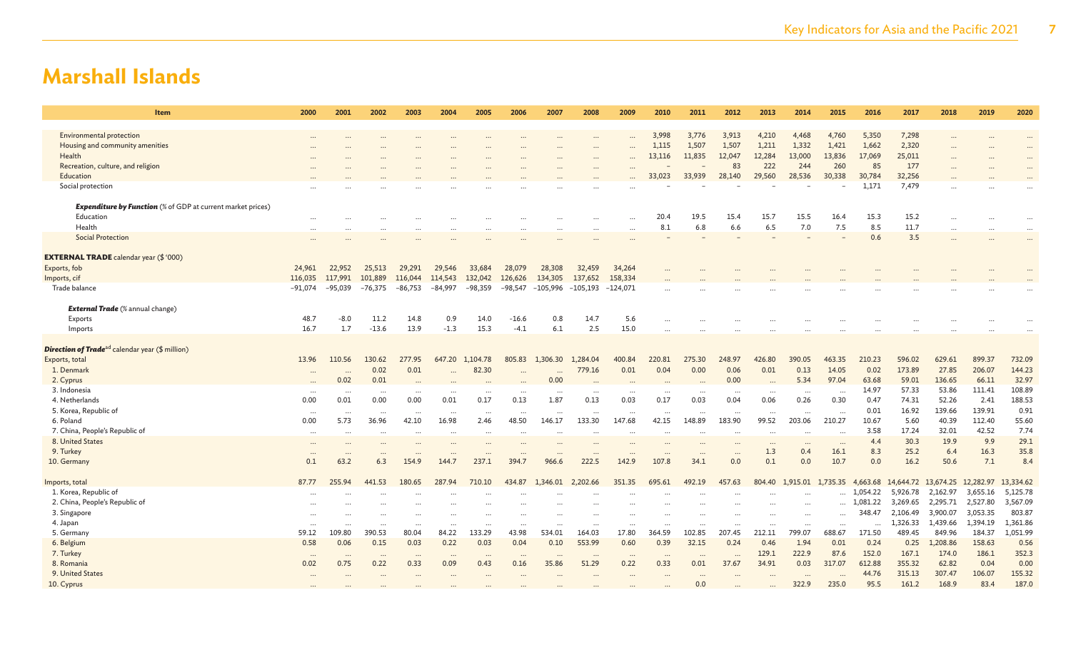| 2000                                                               | 2001      | 2002      | 2003      | 2004      | 2005      | 2006      | 2007       | 2008       | 2009       | 2010                 | 2011            | 2012                 | 2013      | 2014     | 2015      | 2016     | 2017      | 2018      | 2019      | 2020      |
|--------------------------------------------------------------------|-----------|-----------|-----------|-----------|-----------|-----------|------------|------------|------------|----------------------|-----------------|----------------------|-----------|----------|-----------|----------|-----------|-----------|-----------|-----------|
|                                                                    |           |           |           |           |           |           |            |            |            | 3,998                | 3,776           | 3.913                | 4,210     | 4.468    | 4,760     | 5,350    | 7,298     |           |           |           |
|                                                                    |           |           |           |           |           |           |            |            |            | 1,115                | 1,507           | 1,507                | 1,211     | 1,332    | 1,421     | 1,662    | 2,320     |           |           |           |
|                                                                    |           |           |           |           |           |           |            |            |            | 13,116               | 11,835          | 12,047               | 12,284    | 13,000   | 13,836    | 17,069   | 25,011    |           |           |           |
|                                                                    |           |           |           |           |           |           |            |            |            |                      |                 | 83                   | 222       | 244      | 260       | 85       | 177       |           |           |           |
|                                                                    |           |           |           |           |           |           |            |            |            | 33,023               | 33,939          | 28,140               | 29,560    | 28,536   | 30,338    | 30,784   | 32,256    |           |           |           |
|                                                                    |           |           |           |           |           |           |            |            |            |                      |                 |                      |           |          |           | 1,171    | 7,479     |           |           |           |
| <b>Expenditure by Function</b> (% of GDP at current market prices) |           |           |           |           |           |           |            |            |            |                      |                 |                      |           |          |           |          |           |           |           |           |
|                                                                    |           |           |           |           |           |           |            |            |            | 20.4                 | 19.5            | 15.4                 | 15.7      | 15.5     | 16.4      | 15.3     | 15.2      |           |           |           |
|                                                                    |           |           |           |           |           |           |            |            |            | 8.1                  | 6.8             | 6.6                  | 6.5       | 7.0      | 7.5       | 8.5      | 11.7      |           |           |           |
|                                                                    |           |           |           |           |           |           |            |            |            |                      |                 |                      |           |          |           |          |           | $\cdots$  |           |           |
|                                                                    |           |           |           |           |           |           |            |            |            |                      |                 |                      |           |          |           | 0.6      | 3.5       |           |           |           |
|                                                                    |           |           |           |           |           |           |            |            |            |                      |                 |                      |           |          |           |          |           |           |           |           |
| 24,961                                                             | 22,952    | 25,513    | 29,291    | 29,546    | 33,684    | 28,079    | 28,308     | 32,459     | 34,264     |                      |                 |                      |           |          |           |          |           |           |           |           |
| 116,035                                                            | 117,991   | 101,889   | 116,044   | 114,543   | 132,042   | 126,626   | 134,305    | 137,652    | 158,334    |                      |                 |                      |           |          |           |          |           |           |           |           |
| $-91,074$                                                          | $-95,039$ | $-76,375$ | $-86,753$ | $-84,997$ | $-98,359$ | $-98,547$ | $-105,996$ | $-105,193$ | $-124,071$ |                      |                 |                      |           |          |           |          |           |           |           |           |
|                                                                    |           |           |           |           |           |           |            |            |            |                      |                 |                      |           |          |           |          |           |           |           |           |
| 48.7                                                               | $-8.0$    | 11.2      | 14.8      | 0.9       | 14.0      | $-16.6$   | 0.8        | 14.7       | 5.6        |                      |                 |                      |           |          |           |          |           |           |           |           |
| 16.7                                                               | 1.7       | $-13.6$   | 13.9      | $-1.3$    | 15.3      | $-4.1$    | 6.1        | 2.5        | 15.0       |                      |                 |                      |           |          |           |          |           |           |           |           |
|                                                                    |           |           |           |           |           |           |            |            |            |                      |                 |                      |           |          |           |          |           |           |           |           |
| 13.96                                                              | 110.56    | 130.62    | 277.95    | 647.20    | 1,104.78  | 805.83    | 1,306.30   | 1,284.04   | 400.84     | 220.81               | 275.30          | 248.97               | 426.80    | 390.05   | 463.35    | 210.23   | 596.02    | 629.61    | 899.37    | 732.09    |
|                                                                    |           | 0.02      | 0.01      | $\cdots$  | 82.30     |           |            | 779.16     | 0.01       | 0.04                 | 0.00            | 0.06                 | 0.01      | 0.13     | 14.05     | 0.02     | 173.89    | 27.85     | 206.07    | 144.23    |
|                                                                    | 0.02      | 0.01      |           |           |           |           | 0.00       |            |            |                      |                 | 0.00                 |           | 5.34     | 97.04     | 63.68    | 59.01     | 136.65    | 66.11     | 32.97     |
| $\cdots$                                                           | $\cdots$  | $\ddotsc$ | $\cdots$  |           | $\ddotsc$ |           | $\cdots$   |            | $\cdots$   | $\ddot{\phantom{a}}$ | $\ddotsc$       | $\ddotsc$            | $\cdots$  | $\cdots$ | $\ddotsc$ | 14.97    | 57.33     | 53.86     | 111.41    | 108.89    |
| 0.00                                                               | 0.01      | 0.00      | 0.00      | 0.01      | 0.17      | 0.13      | 1.87       | 0.13       | 0.03       | 0.17                 | 0.03            | 0.04                 | 0.06      | 0.26     | 0.30      | 0.47     | 74.31     | 52.26     | 2.41      | 188.53    |
| $\cdots$                                                           | $\cdots$  |           | $\cdots$  | $\cdots$  | $\cdots$  | $\cdots$  |            | $\cdots$   | $\cdots$   | $\ddotsc$            |                 | $\cdots$             |           | $\cdots$ | $\ddotsc$ | 0.01     | 16.92     | 139.66    | 139.91    | 0.91      |
| 0.00                                                               | 5.73      | 36.96     | 42.10     | 16.98     | 2.46      | 48.50     | 146.17     | 133.30     | 147.68     | 42.15                | 148.89          | 183.90               | 99.52     | 203.06   | 210.27    | 10.67    | 5.60      | 40.39     | 112.40    | 55.60     |
| $\cdots$                                                           | $\cdots$  | $\cdots$  | $\cdots$  | $\cdots$  | $\cdots$  | $\cdots$  |            | $\cdots$   | $\cdots$   | $\cdots$             | $\cdots$        | $\cdots$             | $\cdots$  | $\cdots$ | $\ddotsc$ | 3.58     | 17.24     | 32.01     | 42.52     | 7.74      |
| $\cdots$                                                           | $\ddotsc$ |           |           |           |           |           |            |            |            |                      |                 |                      | $\cdots$  | $\cdots$ | $\ddots$  | 4.4      | 30.3      | 19.9      | 9.9       | 29.1      |
| $\cdots$                                                           | $\ddotsc$ | $\cdots$  | $\ddotsc$ | $\cdots$  |           | $\cdots$  | $\cdots$   | $\cdots$   | $\cdots$   |                      | $\cdots$        | $\cdots$             | 1.3       | 0.4      | 16.1      | 8.3      | 25.2      | 6.4       | 16.3      | 35.8      |
| 0.1                                                                | 63.2      | 6.3       | 154.9     | 144.7     | 237.1     | 394.7     | 966.6      | 222.5      | 142.9      | 107.8                | 34.1            | 0.0                  | 0.1       | 0.0      | 10.7      | 0.0      | 16.2      | 50.6      | 7.1       | 8.4       |
|                                                                    |           |           |           |           |           |           |            |            |            |                      |                 |                      |           |          |           |          |           |           |           |           |
| 87.77                                                              | 255.94    | 441.53    | 180.65    | 287.94    | 710.10    | 434.87    | 1,346.01   | 2,202.66   | 351.35     | 695.61               | 492.19          | 457.63               | 804.40    | 1,915.01 | 1,735.35  | 4,663.68 | 14,644.72 | 13,674.25 | 12,282.97 | 13,334.62 |
|                                                                    |           |           |           |           |           |           |            |            |            |                      |                 |                      |           |          | $\cdots$  | 1,054.22 | 5,926.78  | 2,162.97  | 3,655.16  | 5,125.78  |
|                                                                    |           |           | $\cdots$  |           |           |           |            |            |            |                      |                 |                      | $\cdots$  | $\cdots$ | $\cdots$  | 1,081.22 | 3,269.65  | 2,295.71  | 2,527.80  | 3,567.09  |
|                                                                    |           |           | $\cdots$  |           |           |           |            |            |            |                      |                 |                      | $\ddotsc$ | $\cdots$ | $\ddotsc$ | 348.47   | 2,106.49  | 3,900.07  | 3,053.35  | 803.87    |
| $\cdots$                                                           | $\ddotsc$ |           | $\cdots$  | $\cdots$  | $\ddotsc$ | $\cdots$  |            | $\ddotsc$  | $\cdots$   | $\ddotsc$            | $\ddotsc$       | $\ddotsc$            | $\ddots$  | $\cdots$ | $\ddotsc$ |          | 1,326.33  | 1,439.66  | 1,394.19  | 1,361.86  |
| 59.12                                                              |           |           | 80.04     |           | 133.29    |           | 534.01     | 164.03     | 17.80      |                      |                 | 207.45               | 212.11    | 799.07   | 688.67    |          |           |           |           | 1,051.99  |
| 0.58                                                               | 0.06      | 0.15      | 0.03      | 0.22      | 0.03      | 0.04      | 0.10       | 553.99     | 0.60       | 0.39                 |                 | 0.24                 | 0.46      | 1.94     | 0.01      | 0.24     | 0.25      | 1,208.86  | 158.63    | 0.56      |
| $\cdots$                                                           | $\cdots$  | $\ddots$  | $\cdots$  | $\cdots$  | $\ddots$  | $\cdots$  | $\ddotsc$  | $\ddots$   | $\cdots$   | $\ddotsc$            | $\cdots$        | $\ddot{\phantom{a}}$ | 129.1     | 222.9    | 87.6      | 152.0    | 167.1     | 174.0     | 186.1     | 352.3     |
| 0.02                                                               | 0.75      | 0.22      | 0.33      | 0.09      | 0.43      | 0.16      | 35.86      | 51.29      | 0.22       | 0.33                 | 0.01            | 37.67                | 34.91     | 0.03     | 317.07    | 612.88   | 355.32    | 62.82     | 0.04      | 0.00      |
|                                                                    |           |           |           |           |           |           |            |            |            |                      |                 |                      |           |          |           | 44.76    | 315.13    | 307.47    | 106.07    | 155.32    |
|                                                                    |           |           |           |           |           |           |            |            |            |                      | 0.0             |                      |           | 322.9    | 235.0     | 95.5     | 161.2     | 168.9     | 83.4      | 187.0     |
|                                                                    | 109.80    | 390.53    |           | 84.22     |           | 43.98     |            |            |            | 364.59               | 102.85<br>32.15 |                      |           |          |           | 171.50   | 489.45    | 849.96    | 184.37    |           |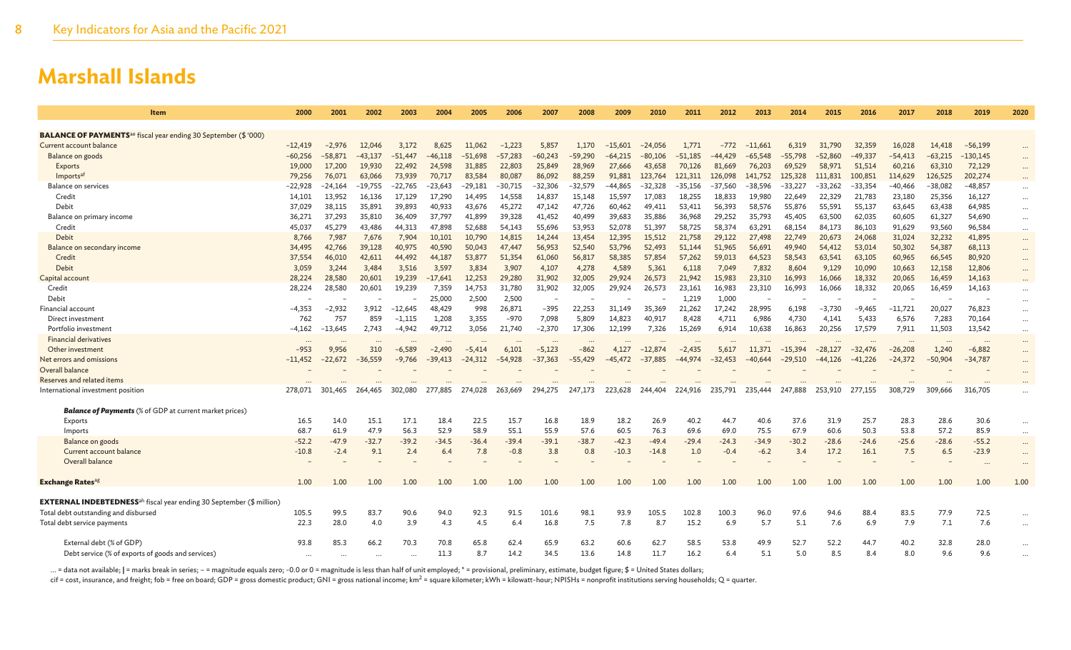| <b>BALANCE OF PAYMENTS</b> <sup>ae</sup> fiscal year ending 30 September (\$ '000)<br>Current account balance<br>$-12,419$<br>3,172<br>$-1,223$<br>5,857<br>$-15,601$<br>$-24,056$<br>1,771<br>$-11,661$<br>31,790<br>32,359<br>$-56,199$<br>$-2,976$<br>12,046<br>8,625<br>11,062<br>1,170<br>$-772$<br>6,319<br>16,028<br>14,418<br>$-130,145$<br>$-60,256$<br>$-58,871$<br>$-43.137$<br>$-51.447$<br>$-46.118$<br>$-57,283$<br>$-60,243$<br>$-59.290$<br>$-51.185$<br>$-44.429$<br>$-65.548$<br>$-55.798$<br>$-52.860$<br>$-49.337$<br>$-54.413$<br>$-63.215$<br>Balance on goods<br>$-51.698$<br>$-64.215$<br>-80.106<br>$\cdots$<br>22,803<br>25,849<br>19,000<br>17,200<br>19,930<br>22,492<br>24,598<br>31,885<br>28,969<br>27,666<br>43,658<br>70,126<br>81,669<br>76,203<br>69,529<br>58,971<br>51,514<br>60,216<br>63,310<br>72,129<br><b>Exports</b><br><br>70,717<br>83,584<br>80,087<br>86,092<br>88,259<br>91,881<br>121.311<br>126,098<br>141,752<br>100,851<br>114,629<br>126,525<br>202,274<br>Imports <sup>at</sup><br>79,256<br>76,071<br>63,066<br>73,939<br>123,764<br>125,328<br>111,831<br>$-23.643$<br>$-32.306$<br>$-44.865$<br>$-32.328$<br>$-38.596$<br>$-33,354$<br>$-38.082$<br>$-48,857$<br><b>Balance on services</b><br>$-22.928$<br>$-24.164$<br>$-19.755$<br>$-22.765$<br>$-29.181$<br>-30.715<br>$-32.579$<br>$-35.156$<br>$-37.560$<br>$-33.227$<br>$-33.262$<br>$-40.466$<br>$\cdots$<br>13,952<br>17,290<br>14,558<br>14,837<br>17,083<br>19,980<br>22,329<br>21,783<br>Credit<br>16,136<br>17,129<br>14,495<br>15,148<br>15,597<br>18,255<br>18,833<br>22,649<br>23,180<br>25,356<br>16,127<br>14,101<br>$\cdots$<br>Debit<br>35,891<br>39,893<br>40,933<br>49,411<br>56,393<br>55,137<br>64,985<br>37,029<br>38,115<br>43,676<br>45,272<br>47,142<br>47.726<br>60,462<br>53,411<br>58,576<br>55,876<br>55.591<br>63,645<br>63,438<br>$\cdots$<br>37,293<br>36,409<br>37,797<br>41,899<br>39,328<br>41,452<br>40,499<br>39,683<br>35,886<br>36,968<br>29.252<br>35,793<br>60,605<br>61,327<br>54,690<br>Balance on primary income<br>36,271<br>35,810<br>45,405<br>63,500<br>62,035<br>$\cdots$<br>45,279<br>47,898<br>51,397<br>58,374<br>63,291<br>96,584<br>Credit<br>43,486<br>44,313<br>52.688<br>54,143<br>55,696<br>53.953<br>52,078<br>58.725<br>68,154<br>84,173<br>86,103<br>91,629<br>93,560<br>45,037<br>$\cdots$<br>Debit<br>7,987<br>7,904<br>14,815<br>15,512<br>29,122<br>20,673<br>41,895<br>7,676<br>10,101<br>10,790<br>14,244<br>13,454<br>12,395<br>21,758<br>27,498<br>22,749<br>24,068<br>31,024<br>32,232<br>8,766<br>$\cdots$<br>Balance on secondary income<br>42,766<br>39,128<br>40,590<br>50,043<br>47,447<br>56,953<br>52,540<br>53,796<br>52,493<br>51,144<br>51,965<br>56,691<br>49,940<br>54,412<br>53,014<br>50,302<br>54,387<br>68,113<br>34,495<br>40,975<br>$\cdots$<br>37,554<br>46,010<br>44,492<br>44,187<br>53,877<br>51,354<br>61,060<br>56,817<br>58,385<br>57,854<br>57,262<br>59,013<br>64,523<br>60,965<br>80,920<br>Credit<br>42,611<br>58,543<br>63,541<br>63,105<br>66,545<br>$\cdots$<br>Debit<br>3,244<br>3,484<br>3,597<br>3,834<br>3,907<br>4,278<br>4,589<br>5,361<br>6,118<br>7,049<br>7,832<br>9,129<br>10,090<br>10,663<br>12,158<br>12,806<br>3,059<br>3,516<br>4,107<br>8,604<br>$\cdots$<br>28,580<br>31,902<br>26,573<br>15,983<br>23,310<br>18,332<br>28,224<br>20,601<br>19,239<br>$-17,641$<br>12,253<br>29,280<br>32,005<br>29,924<br>21,942<br>16,993<br>16,066<br>20,065<br>16,459<br>14,163<br>Capital account<br>31,902<br>18,332<br>28,224<br>28,580<br>20,601<br>7,359<br>14,753<br>31,780<br>32,005<br>23,161<br>16,983<br>23,310<br>16,993<br>20,065<br>16,459<br>14,163<br>Credit<br>19,239<br>29,924<br>26,573<br>16,066<br>$\cdots$<br>25,000<br>2,500<br>2,500<br>1,219<br>1,000<br>Debit<br>÷,<br>$\cdots$<br>$-395$<br>28,995<br>Financial account<br>$-2,932$<br>3.912<br>$-12.645$<br>48,429<br>998<br>26,871<br>22,253<br>31,149<br>35,369<br>21,262<br>17,242<br>6,198<br>$-3,730$<br>$-9,465$<br>$-11,721$<br>20,027<br>76,823<br>-4.353<br>$\cdots$<br>757<br>859<br>1,208<br>3,355<br>$-970$<br>7,098<br>14,823<br>40,917<br>6,986<br>5,433<br>70,164<br>762<br>$-1.115$<br>5,809<br>8,428<br>4.711<br>4,730<br>4,141<br>6,576<br>7,283<br>Direct investment<br>$\cdots$ |
|-------------------------------------------------------------------------------------------------------------------------------------------------------------------------------------------------------------------------------------------------------------------------------------------------------------------------------------------------------------------------------------------------------------------------------------------------------------------------------------------------------------------------------------------------------------------------------------------------------------------------------------------------------------------------------------------------------------------------------------------------------------------------------------------------------------------------------------------------------------------------------------------------------------------------------------------------------------------------------------------------------------------------------------------------------------------------------------------------------------------------------------------------------------------------------------------------------------------------------------------------------------------------------------------------------------------------------------------------------------------------------------------------------------------------------------------------------------------------------------------------------------------------------------------------------------------------------------------------------------------------------------------------------------------------------------------------------------------------------------------------------------------------------------------------------------------------------------------------------------------------------------------------------------------------------------------------------------------------------------------------------------------------------------------------------------------------------------------------------------------------------------------------------------------------------------------------------------------------------------------------------------------------------------------------------------------------------------------------------------------------------------------------------------------------------------------------------------------------------------------------------------------------------------------------------------------------------------------------------------------------------------------------------------------------------------------------------------------------------------------------------------------------------------------------------------------------------------------------------------------------------------------------------------------------------------------------------------------------------------------------------------------------------------------------------------------------------------------------------------------------------------------------------------------------------------------------------------------------------------------------------------------------------------------------------------------------------------------------------------------------------------------------------------------------------------------------------------------------------------------------------------------------------------------------------------------------------------------------------------------------------------------------------------------------------------------------------------------------------------------------------------------------------------------------------------------------------------------------------------------------------------------------------------------------------------------------------------------------------------------------------------------------------------------------------------------------------------------------------------------------------------------------------------------------------------------------------------------------------------------------------------------------------------------------------|
|                                                                                                                                                                                                                                                                                                                                                                                                                                                                                                                                                                                                                                                                                                                                                                                                                                                                                                                                                                                                                                                                                                                                                                                                                                                                                                                                                                                                                                                                                                                                                                                                                                                                                                                                                                                                                                                                                                                                                                                                                                                                                                                                                                                                                                                                                                                                                                                                                                                                                                                                                                                                                                                                                                                                                                                                                                                                                                                                                                                                                                                                                                                                                                                                                                                                                                                                                                                                                                                                                                                                                                                                                                                                                                                                                                                                                                                                                                                                                                                                                                                                                                                                                                                                                                                                                                       |
|                                                                                                                                                                                                                                                                                                                                                                                                                                                                                                                                                                                                                                                                                                                                                                                                                                                                                                                                                                                                                                                                                                                                                                                                                                                                                                                                                                                                                                                                                                                                                                                                                                                                                                                                                                                                                                                                                                                                                                                                                                                                                                                                                                                                                                                                                                                                                                                                                                                                                                                                                                                                                                                                                                                                                                                                                                                                                                                                                                                                                                                                                                                                                                                                                                                                                                                                                                                                                                                                                                                                                                                                                                                                                                                                                                                                                                                                                                                                                                                                                                                                                                                                                                                                                                                                                                       |
|                                                                                                                                                                                                                                                                                                                                                                                                                                                                                                                                                                                                                                                                                                                                                                                                                                                                                                                                                                                                                                                                                                                                                                                                                                                                                                                                                                                                                                                                                                                                                                                                                                                                                                                                                                                                                                                                                                                                                                                                                                                                                                                                                                                                                                                                                                                                                                                                                                                                                                                                                                                                                                                                                                                                                                                                                                                                                                                                                                                                                                                                                                                                                                                                                                                                                                                                                                                                                                                                                                                                                                                                                                                                                                                                                                                                                                                                                                                                                                                                                                                                                                                                                                                                                                                                                                       |
|                                                                                                                                                                                                                                                                                                                                                                                                                                                                                                                                                                                                                                                                                                                                                                                                                                                                                                                                                                                                                                                                                                                                                                                                                                                                                                                                                                                                                                                                                                                                                                                                                                                                                                                                                                                                                                                                                                                                                                                                                                                                                                                                                                                                                                                                                                                                                                                                                                                                                                                                                                                                                                                                                                                                                                                                                                                                                                                                                                                                                                                                                                                                                                                                                                                                                                                                                                                                                                                                                                                                                                                                                                                                                                                                                                                                                                                                                                                                                                                                                                                                                                                                                                                                                                                                                                       |
|                                                                                                                                                                                                                                                                                                                                                                                                                                                                                                                                                                                                                                                                                                                                                                                                                                                                                                                                                                                                                                                                                                                                                                                                                                                                                                                                                                                                                                                                                                                                                                                                                                                                                                                                                                                                                                                                                                                                                                                                                                                                                                                                                                                                                                                                                                                                                                                                                                                                                                                                                                                                                                                                                                                                                                                                                                                                                                                                                                                                                                                                                                                                                                                                                                                                                                                                                                                                                                                                                                                                                                                                                                                                                                                                                                                                                                                                                                                                                                                                                                                                                                                                                                                                                                                                                                       |
|                                                                                                                                                                                                                                                                                                                                                                                                                                                                                                                                                                                                                                                                                                                                                                                                                                                                                                                                                                                                                                                                                                                                                                                                                                                                                                                                                                                                                                                                                                                                                                                                                                                                                                                                                                                                                                                                                                                                                                                                                                                                                                                                                                                                                                                                                                                                                                                                                                                                                                                                                                                                                                                                                                                                                                                                                                                                                                                                                                                                                                                                                                                                                                                                                                                                                                                                                                                                                                                                                                                                                                                                                                                                                                                                                                                                                                                                                                                                                                                                                                                                                                                                                                                                                                                                                                       |
|                                                                                                                                                                                                                                                                                                                                                                                                                                                                                                                                                                                                                                                                                                                                                                                                                                                                                                                                                                                                                                                                                                                                                                                                                                                                                                                                                                                                                                                                                                                                                                                                                                                                                                                                                                                                                                                                                                                                                                                                                                                                                                                                                                                                                                                                                                                                                                                                                                                                                                                                                                                                                                                                                                                                                                                                                                                                                                                                                                                                                                                                                                                                                                                                                                                                                                                                                                                                                                                                                                                                                                                                                                                                                                                                                                                                                                                                                                                                                                                                                                                                                                                                                                                                                                                                                                       |
|                                                                                                                                                                                                                                                                                                                                                                                                                                                                                                                                                                                                                                                                                                                                                                                                                                                                                                                                                                                                                                                                                                                                                                                                                                                                                                                                                                                                                                                                                                                                                                                                                                                                                                                                                                                                                                                                                                                                                                                                                                                                                                                                                                                                                                                                                                                                                                                                                                                                                                                                                                                                                                                                                                                                                                                                                                                                                                                                                                                                                                                                                                                                                                                                                                                                                                                                                                                                                                                                                                                                                                                                                                                                                                                                                                                                                                                                                                                                                                                                                                                                                                                                                                                                                                                                                                       |
|                                                                                                                                                                                                                                                                                                                                                                                                                                                                                                                                                                                                                                                                                                                                                                                                                                                                                                                                                                                                                                                                                                                                                                                                                                                                                                                                                                                                                                                                                                                                                                                                                                                                                                                                                                                                                                                                                                                                                                                                                                                                                                                                                                                                                                                                                                                                                                                                                                                                                                                                                                                                                                                                                                                                                                                                                                                                                                                                                                                                                                                                                                                                                                                                                                                                                                                                                                                                                                                                                                                                                                                                                                                                                                                                                                                                                                                                                                                                                                                                                                                                                                                                                                                                                                                                                                       |
|                                                                                                                                                                                                                                                                                                                                                                                                                                                                                                                                                                                                                                                                                                                                                                                                                                                                                                                                                                                                                                                                                                                                                                                                                                                                                                                                                                                                                                                                                                                                                                                                                                                                                                                                                                                                                                                                                                                                                                                                                                                                                                                                                                                                                                                                                                                                                                                                                                                                                                                                                                                                                                                                                                                                                                                                                                                                                                                                                                                                                                                                                                                                                                                                                                                                                                                                                                                                                                                                                                                                                                                                                                                                                                                                                                                                                                                                                                                                                                                                                                                                                                                                                                                                                                                                                                       |
|                                                                                                                                                                                                                                                                                                                                                                                                                                                                                                                                                                                                                                                                                                                                                                                                                                                                                                                                                                                                                                                                                                                                                                                                                                                                                                                                                                                                                                                                                                                                                                                                                                                                                                                                                                                                                                                                                                                                                                                                                                                                                                                                                                                                                                                                                                                                                                                                                                                                                                                                                                                                                                                                                                                                                                                                                                                                                                                                                                                                                                                                                                                                                                                                                                                                                                                                                                                                                                                                                                                                                                                                                                                                                                                                                                                                                                                                                                                                                                                                                                                                                                                                                                                                                                                                                                       |
|                                                                                                                                                                                                                                                                                                                                                                                                                                                                                                                                                                                                                                                                                                                                                                                                                                                                                                                                                                                                                                                                                                                                                                                                                                                                                                                                                                                                                                                                                                                                                                                                                                                                                                                                                                                                                                                                                                                                                                                                                                                                                                                                                                                                                                                                                                                                                                                                                                                                                                                                                                                                                                                                                                                                                                                                                                                                                                                                                                                                                                                                                                                                                                                                                                                                                                                                                                                                                                                                                                                                                                                                                                                                                                                                                                                                                                                                                                                                                                                                                                                                                                                                                                                                                                                                                                       |
|                                                                                                                                                                                                                                                                                                                                                                                                                                                                                                                                                                                                                                                                                                                                                                                                                                                                                                                                                                                                                                                                                                                                                                                                                                                                                                                                                                                                                                                                                                                                                                                                                                                                                                                                                                                                                                                                                                                                                                                                                                                                                                                                                                                                                                                                                                                                                                                                                                                                                                                                                                                                                                                                                                                                                                                                                                                                                                                                                                                                                                                                                                                                                                                                                                                                                                                                                                                                                                                                                                                                                                                                                                                                                                                                                                                                                                                                                                                                                                                                                                                                                                                                                                                                                                                                                                       |
|                                                                                                                                                                                                                                                                                                                                                                                                                                                                                                                                                                                                                                                                                                                                                                                                                                                                                                                                                                                                                                                                                                                                                                                                                                                                                                                                                                                                                                                                                                                                                                                                                                                                                                                                                                                                                                                                                                                                                                                                                                                                                                                                                                                                                                                                                                                                                                                                                                                                                                                                                                                                                                                                                                                                                                                                                                                                                                                                                                                                                                                                                                                                                                                                                                                                                                                                                                                                                                                                                                                                                                                                                                                                                                                                                                                                                                                                                                                                                                                                                                                                                                                                                                                                                                                                                                       |
|                                                                                                                                                                                                                                                                                                                                                                                                                                                                                                                                                                                                                                                                                                                                                                                                                                                                                                                                                                                                                                                                                                                                                                                                                                                                                                                                                                                                                                                                                                                                                                                                                                                                                                                                                                                                                                                                                                                                                                                                                                                                                                                                                                                                                                                                                                                                                                                                                                                                                                                                                                                                                                                                                                                                                                                                                                                                                                                                                                                                                                                                                                                                                                                                                                                                                                                                                                                                                                                                                                                                                                                                                                                                                                                                                                                                                                                                                                                                                                                                                                                                                                                                                                                                                                                                                                       |
|                                                                                                                                                                                                                                                                                                                                                                                                                                                                                                                                                                                                                                                                                                                                                                                                                                                                                                                                                                                                                                                                                                                                                                                                                                                                                                                                                                                                                                                                                                                                                                                                                                                                                                                                                                                                                                                                                                                                                                                                                                                                                                                                                                                                                                                                                                                                                                                                                                                                                                                                                                                                                                                                                                                                                                                                                                                                                                                                                                                                                                                                                                                                                                                                                                                                                                                                                                                                                                                                                                                                                                                                                                                                                                                                                                                                                                                                                                                                                                                                                                                                                                                                                                                                                                                                                                       |
|                                                                                                                                                                                                                                                                                                                                                                                                                                                                                                                                                                                                                                                                                                                                                                                                                                                                                                                                                                                                                                                                                                                                                                                                                                                                                                                                                                                                                                                                                                                                                                                                                                                                                                                                                                                                                                                                                                                                                                                                                                                                                                                                                                                                                                                                                                                                                                                                                                                                                                                                                                                                                                                                                                                                                                                                                                                                                                                                                                                                                                                                                                                                                                                                                                                                                                                                                                                                                                                                                                                                                                                                                                                                                                                                                                                                                                                                                                                                                                                                                                                                                                                                                                                                                                                                                                       |
|                                                                                                                                                                                                                                                                                                                                                                                                                                                                                                                                                                                                                                                                                                                                                                                                                                                                                                                                                                                                                                                                                                                                                                                                                                                                                                                                                                                                                                                                                                                                                                                                                                                                                                                                                                                                                                                                                                                                                                                                                                                                                                                                                                                                                                                                                                                                                                                                                                                                                                                                                                                                                                                                                                                                                                                                                                                                                                                                                                                                                                                                                                                                                                                                                                                                                                                                                                                                                                                                                                                                                                                                                                                                                                                                                                                                                                                                                                                                                                                                                                                                                                                                                                                                                                                                                                       |
|                                                                                                                                                                                                                                                                                                                                                                                                                                                                                                                                                                                                                                                                                                                                                                                                                                                                                                                                                                                                                                                                                                                                                                                                                                                                                                                                                                                                                                                                                                                                                                                                                                                                                                                                                                                                                                                                                                                                                                                                                                                                                                                                                                                                                                                                                                                                                                                                                                                                                                                                                                                                                                                                                                                                                                                                                                                                                                                                                                                                                                                                                                                                                                                                                                                                                                                                                                                                                                                                                                                                                                                                                                                                                                                                                                                                                                                                                                                                                                                                                                                                                                                                                                                                                                                                                                       |
| Portfolio investment<br>2.743<br>49,712<br>3,056<br>$-2,370$<br>17,306<br>12,199<br>7,326<br>15,269<br>10,638<br>16,863<br>20,256<br>17,579<br>7,911<br>11,503<br>-4,162<br>$-13,645$<br>-4.942<br>21,740<br>6,914<br>13,542<br>$\cdots$                                                                                                                                                                                                                                                                                                                                                                                                                                                                                                                                                                                                                                                                                                                                                                                                                                                                                                                                                                                                                                                                                                                                                                                                                                                                                                                                                                                                                                                                                                                                                                                                                                                                                                                                                                                                                                                                                                                                                                                                                                                                                                                                                                                                                                                                                                                                                                                                                                                                                                                                                                                                                                                                                                                                                                                                                                                                                                                                                                                                                                                                                                                                                                                                                                                                                                                                                                                                                                                                                                                                                                                                                                                                                                                                                                                                                                                                                                                                                                                                                                                              |
| <b>Financial derivatives</b><br>$\cdots$<br>$\cdots$<br>$\cdots$<br>$\cdots$<br>$\cdots$<br>$\cdots$<br><br>$\cdots$<br>$\cdots$<br><br>$\cdots$<br>$\cdots$<br>$\cdots$<br><br>$\ddotsc$<br>$\cdots$<br>$\cdots$<br>$\cdots$<br>$\cdots$<br>$\cdots$<br>$\cdots$                                                                                                                                                                                                                                                                                                                                                                                                                                                                                                                                                                                                                                                                                                                                                                                                                                                                                                                                                                                                                                                                                                                                                                                                                                                                                                                                                                                                                                                                                                                                                                                                                                                                                                                                                                                                                                                                                                                                                                                                                                                                                                                                                                                                                                                                                                                                                                                                                                                                                                                                                                                                                                                                                                                                                                                                                                                                                                                                                                                                                                                                                                                                                                                                                                                                                                                                                                                                                                                                                                                                                                                                                                                                                                                                                                                                                                                                                                                                                                                                                                     |
| Other investment<br>$-953$<br>310<br>$-862$<br>$-2.435$<br>11.371<br>$-28.127$<br>$-26,208$<br>$-6,882$<br>9.956<br>$-6.589$<br>$-2,490$<br>6.101<br>$-5,123$<br>4,127<br>$-12.874$<br>5,617<br>$-15.394$<br>$-32.476$<br>1,240<br>-5.414<br>                                                                                                                                                                                                                                                                                                                                                                                                                                                                                                                                                                                                                                                                                                                                                                                                                                                                                                                                                                                                                                                                                                                                                                                                                                                                                                                                                                                                                                                                                                                                                                                                                                                                                                                                                                                                                                                                                                                                                                                                                                                                                                                                                                                                                                                                                                                                                                                                                                                                                                                                                                                                                                                                                                                                                                                                                                                                                                                                                                                                                                                                                                                                                                                                                                                                                                                                                                                                                                                                                                                                                                                                                                                                                                                                                                                                                                                                                                                                                                                                                                                         |
| Net errors and omissions<br>$-11.452$<br>$-36.559$<br>$-54.928$<br>$-37,363$<br>$-55,429$<br>$-45,472$<br>$-32,453$<br>$-50.904$<br>$-34,787$<br>$-22,672$<br>-9.766<br>$-39.413$<br>$-24.312$<br>$-37.885$<br>$-44.974$<br>-40.644<br>$-29.510$<br>-44.126<br>$-41,226$<br>$-24.372$<br>                                                                                                                                                                                                                                                                                                                                                                                                                                                                                                                                                                                                                                                                                                                                                                                                                                                                                                                                                                                                                                                                                                                                                                                                                                                                                                                                                                                                                                                                                                                                                                                                                                                                                                                                                                                                                                                                                                                                                                                                                                                                                                                                                                                                                                                                                                                                                                                                                                                                                                                                                                                                                                                                                                                                                                                                                                                                                                                                                                                                                                                                                                                                                                                                                                                                                                                                                                                                                                                                                                                                                                                                                                                                                                                                                                                                                                                                                                                                                                                                             |
| Overall balance<br>$\cdots$                                                                                                                                                                                                                                                                                                                                                                                                                                                                                                                                                                                                                                                                                                                                                                                                                                                                                                                                                                                                                                                                                                                                                                                                                                                                                                                                                                                                                                                                                                                                                                                                                                                                                                                                                                                                                                                                                                                                                                                                                                                                                                                                                                                                                                                                                                                                                                                                                                                                                                                                                                                                                                                                                                                                                                                                                                                                                                                                                                                                                                                                                                                                                                                                                                                                                                                                                                                                                                                                                                                                                                                                                                                                                                                                                                                                                                                                                                                                                                                                                                                                                                                                                                                                                                                                           |
| Reserves and related items                                                                                                                                                                                                                                                                                                                                                                                                                                                                                                                                                                                                                                                                                                                                                                                                                                                                                                                                                                                                                                                                                                                                                                                                                                                                                                                                                                                                                                                                                                                                                                                                                                                                                                                                                                                                                                                                                                                                                                                                                                                                                                                                                                                                                                                                                                                                                                                                                                                                                                                                                                                                                                                                                                                                                                                                                                                                                                                                                                                                                                                                                                                                                                                                                                                                                                                                                                                                                                                                                                                                                                                                                                                                                                                                                                                                                                                                                                                                                                                                                                                                                                                                                                                                                                                                            |
| 235,444<br>316,705<br>International investment position<br>263,669<br>294,275<br>247,173<br>223,628<br>244,404<br>224,916<br>235,791<br>247,888<br>253,910<br>277,155<br>308,729<br>309.666<br>278,071<br>301,465<br>264,465<br>302,080<br>277,885<br>274,028                                                                                                                                                                                                                                                                                                                                                                                                                                                                                                                                                                                                                                                                                                                                                                                                                                                                                                                                                                                                                                                                                                                                                                                                                                                                                                                                                                                                                                                                                                                                                                                                                                                                                                                                                                                                                                                                                                                                                                                                                                                                                                                                                                                                                                                                                                                                                                                                                                                                                                                                                                                                                                                                                                                                                                                                                                                                                                                                                                                                                                                                                                                                                                                                                                                                                                                                                                                                                                                                                                                                                                                                                                                                                                                                                                                                                                                                                                                                                                                                                                         |
| <b>Balance of Payments</b> (% of GDP at current market prices)                                                                                                                                                                                                                                                                                                                                                                                                                                                                                                                                                                                                                                                                                                                                                                                                                                                                                                                                                                                                                                                                                                                                                                                                                                                                                                                                                                                                                                                                                                                                                                                                                                                                                                                                                                                                                                                                                                                                                                                                                                                                                                                                                                                                                                                                                                                                                                                                                                                                                                                                                                                                                                                                                                                                                                                                                                                                                                                                                                                                                                                                                                                                                                                                                                                                                                                                                                                                                                                                                                                                                                                                                                                                                                                                                                                                                                                                                                                                                                                                                                                                                                                                                                                                                                        |
| 25.7<br>28.6<br>Exports<br>16.5<br>14.0<br>15.1<br>17.1<br>18.4<br>22.5<br>15.7<br>16.8<br>18.9<br>18.2<br>26.9<br>40.2<br>44.7<br>40.6<br>37.6<br>31.9<br>28.3<br>30.6                                                                                                                                                                                                                                                                                                                                                                                                                                                                                                                                                                                                                                                                                                                                                                                                                                                                                                                                                                                                                                                                                                                                                                                                                                                                                                                                                                                                                                                                                                                                                                                                                                                                                                                                                                                                                                                                                                                                                                                                                                                                                                                                                                                                                                                                                                                                                                                                                                                                                                                                                                                                                                                                                                                                                                                                                                                                                                                                                                                                                                                                                                                                                                                                                                                                                                                                                                                                                                                                                                                                                                                                                                                                                                                                                                                                                                                                                                                                                                                                                                                                                                                               |
| <br>47.9<br>56.3<br>58.9<br>55.1<br>57.6<br>67.9<br>50.3<br>57.2<br>68.7<br>61.9<br>52.9<br>55.9<br>60.5<br>76.3<br>69.6<br>69.0<br>75.5<br>60.6<br>53.8<br>85.9<br>Imports<br>$\cdots$                                                                                                                                                                                                                                                                                                                                                                                                                                                                                                                                                                                                                                                                                                                                                                                                                                                                                                                                                                                                                                                                                                                                                                                                                                                                                                                                                                                                                                                                                                                                                                                                                                                                                                                                                                                                                                                                                                                                                                                                                                                                                                                                                                                                                                                                                                                                                                                                                                                                                                                                                                                                                                                                                                                                                                                                                                                                                                                                                                                                                                                                                                                                                                                                                                                                                                                                                                                                                                                                                                                                                                                                                                                                                                                                                                                                                                                                                                                                                                                                                                                                                                               |
| $-47.9$<br>$-32.7$<br>$-39.2$<br>$-39.4$<br>$-39.1$<br>$-38.7$<br>$-49.4$<br>$-30.2$<br>$-55.2$<br>Balance on goods<br>$-52.2$<br>$-34.5$<br>$-36.4$<br>$-42.3$<br>$-29.4$<br>$-24.3$<br>$-34.9$<br>$-28.6$<br>$-24.6$<br>$-25.6$<br>$-28.6$<br>$\cdots$                                                                                                                                                                                                                                                                                                                                                                                                                                                                                                                                                                                                                                                                                                                                                                                                                                                                                                                                                                                                                                                                                                                                                                                                                                                                                                                                                                                                                                                                                                                                                                                                                                                                                                                                                                                                                                                                                                                                                                                                                                                                                                                                                                                                                                                                                                                                                                                                                                                                                                                                                                                                                                                                                                                                                                                                                                                                                                                                                                                                                                                                                                                                                                                                                                                                                                                                                                                                                                                                                                                                                                                                                                                                                                                                                                                                                                                                                                                                                                                                                                              |
| $-2.4$<br>$-23.9$<br>Current account balance<br>$-10.8$<br>9.1<br>2.4<br>7.8<br>$-0.8$<br>3.8<br>0.8<br>$-10.3$<br>$-14.8$<br>1.0<br>$-0.4$<br>3.4<br>17.2<br>16.1<br>7.5<br>6.5<br>6.4<br>$-6.2$<br>$\ddotsc$                                                                                                                                                                                                                                                                                                                                                                                                                                                                                                                                                                                                                                                                                                                                                                                                                                                                                                                                                                                                                                                                                                                                                                                                                                                                                                                                                                                                                                                                                                                                                                                                                                                                                                                                                                                                                                                                                                                                                                                                                                                                                                                                                                                                                                                                                                                                                                                                                                                                                                                                                                                                                                                                                                                                                                                                                                                                                                                                                                                                                                                                                                                                                                                                                                                                                                                                                                                                                                                                                                                                                                                                                                                                                                                                                                                                                                                                                                                                                                                                                                                                                        |
| Overall balance<br>$\ddotsc$                                                                                                                                                                                                                                                                                                                                                                                                                                                                                                                                                                                                                                                                                                                                                                                                                                                                                                                                                                                                                                                                                                                                                                                                                                                                                                                                                                                                                                                                                                                                                                                                                                                                                                                                                                                                                                                                                                                                                                                                                                                                                                                                                                                                                                                                                                                                                                                                                                                                                                                                                                                                                                                                                                                                                                                                                                                                                                                                                                                                                                                                                                                                                                                                                                                                                                                                                                                                                                                                                                                                                                                                                                                                                                                                                                                                                                                                                                                                                                                                                                                                                                                                                                                                                                                                          |
|                                                                                                                                                                                                                                                                                                                                                                                                                                                                                                                                                                                                                                                                                                                                                                                                                                                                                                                                                                                                                                                                                                                                                                                                                                                                                                                                                                                                                                                                                                                                                                                                                                                                                                                                                                                                                                                                                                                                                                                                                                                                                                                                                                                                                                                                                                                                                                                                                                                                                                                                                                                                                                                                                                                                                                                                                                                                                                                                                                                                                                                                                                                                                                                                                                                                                                                                                                                                                                                                                                                                                                                                                                                                                                                                                                                                                                                                                                                                                                                                                                                                                                                                                                                                                                                                                                       |
| 1.00<br>1.00<br>1.00<br><b>Exchange Rates</b> <sup>ag</sup><br>1.00<br>1.00<br>1.00<br>1.00<br>1.00<br>1.00<br>1.00<br>1.00<br>1.00<br>1.00<br>1.00<br>1.00<br>1.00<br>1.00<br>1.00<br>1.00<br>1.00<br>1.00                                                                                                                                                                                                                                                                                                                                                                                                                                                                                                                                                                                                                                                                                                                                                                                                                                                                                                                                                                                                                                                                                                                                                                                                                                                                                                                                                                                                                                                                                                                                                                                                                                                                                                                                                                                                                                                                                                                                                                                                                                                                                                                                                                                                                                                                                                                                                                                                                                                                                                                                                                                                                                                                                                                                                                                                                                                                                                                                                                                                                                                                                                                                                                                                                                                                                                                                                                                                                                                                                                                                                                                                                                                                                                                                                                                                                                                                                                                                                                                                                                                                                           |
|                                                                                                                                                                                                                                                                                                                                                                                                                                                                                                                                                                                                                                                                                                                                                                                                                                                                                                                                                                                                                                                                                                                                                                                                                                                                                                                                                                                                                                                                                                                                                                                                                                                                                                                                                                                                                                                                                                                                                                                                                                                                                                                                                                                                                                                                                                                                                                                                                                                                                                                                                                                                                                                                                                                                                                                                                                                                                                                                                                                                                                                                                                                                                                                                                                                                                                                                                                                                                                                                                                                                                                                                                                                                                                                                                                                                                                                                                                                                                                                                                                                                                                                                                                                                                                                                                                       |
| <b>EXTERNAL INDEBTEDNESS</b> <sup>ah</sup> fiscal year ending 30 September $(\$$ million)                                                                                                                                                                                                                                                                                                                                                                                                                                                                                                                                                                                                                                                                                                                                                                                                                                                                                                                                                                                                                                                                                                                                                                                                                                                                                                                                                                                                                                                                                                                                                                                                                                                                                                                                                                                                                                                                                                                                                                                                                                                                                                                                                                                                                                                                                                                                                                                                                                                                                                                                                                                                                                                                                                                                                                                                                                                                                                                                                                                                                                                                                                                                                                                                                                                                                                                                                                                                                                                                                                                                                                                                                                                                                                                                                                                                                                                                                                                                                                                                                                                                                                                                                                                                             |
| 99.5<br>88.4<br>83.5<br>77.9<br>72.5<br>Total debt outstanding and disbursed<br>83.7<br>90.6<br>94.0<br>92.3<br>91.5<br>101.6<br>98.1<br>93.9<br>105.5<br>102.8<br>100.3<br>96.0<br>97.6<br>94.6<br>105.5<br>28.0<br>7.1                                                                                                                                                                                                                                                                                                                                                                                                                                                                                                                                                                                                                                                                                                                                                                                                                                                                                                                                                                                                                                                                                                                                                                                                                                                                                                                                                                                                                                                                                                                                                                                                                                                                                                                                                                                                                                                                                                                                                                                                                                                                                                                                                                                                                                                                                                                                                                                                                                                                                                                                                                                                                                                                                                                                                                                                                                                                                                                                                                                                                                                                                                                                                                                                                                                                                                                                                                                                                                                                                                                                                                                                                                                                                                                                                                                                                                                                                                                                                                                                                                                                              |
| 22.3<br>3.9<br>7.5<br>7.8<br>8.7<br>15.2<br>5.7<br>5.1<br>6.9<br>7.9<br>7.6<br>Total debt service payments<br>4.0<br>4.3<br>4.5<br>6.4<br>16.8<br>6.9<br>7.6<br>$\cdots$                                                                                                                                                                                                                                                                                                                                                                                                                                                                                                                                                                                                                                                                                                                                                                                                                                                                                                                                                                                                                                                                                                                                                                                                                                                                                                                                                                                                                                                                                                                                                                                                                                                                                                                                                                                                                                                                                                                                                                                                                                                                                                                                                                                                                                                                                                                                                                                                                                                                                                                                                                                                                                                                                                                                                                                                                                                                                                                                                                                                                                                                                                                                                                                                                                                                                                                                                                                                                                                                                                                                                                                                                                                                                                                                                                                                                                                                                                                                                                                                                                                                                                                              |
| External debt (% of GDP)<br>85.3<br>66.2<br>70.3<br>70.8<br>65.8<br>65.9<br>63.2<br>62.7<br>58.5<br>53.8<br>49.9<br>52.7<br>52.2<br>44.7<br>40.2<br>32.8<br>28.0<br>93.8<br>62.4<br>60.6                                                                                                                                                                                                                                                                                                                                                                                                                                                                                                                                                                                                                                                                                                                                                                                                                                                                                                                                                                                                                                                                                                                                                                                                                                                                                                                                                                                                                                                                                                                                                                                                                                                                                                                                                                                                                                                                                                                                                                                                                                                                                                                                                                                                                                                                                                                                                                                                                                                                                                                                                                                                                                                                                                                                                                                                                                                                                                                                                                                                                                                                                                                                                                                                                                                                                                                                                                                                                                                                                                                                                                                                                                                                                                                                                                                                                                                                                                                                                                                                                                                                                                              |
| 8.7<br>13.6<br>11.7<br>5.1<br>5.0<br>8.4<br>11.3<br>14.2<br>34.5<br>14.8<br>16.2<br>6.4<br>8.5<br>8.0<br>9.6<br>9.6<br>Debt service (% of exports of goods and services)<br>$\cdots$                                                                                                                                                                                                                                                                                                                                                                                                                                                                                                                                                                                                                                                                                                                                                                                                                                                                                                                                                                                                                                                                                                                                                                                                                                                                                                                                                                                                                                                                                                                                                                                                                                                                                                                                                                                                                                                                                                                                                                                                                                                                                                                                                                                                                                                                                                                                                                                                                                                                                                                                                                                                                                                                                                                                                                                                                                                                                                                                                                                                                                                                                                                                                                                                                                                                                                                                                                                                                                                                                                                                                                                                                                                                                                                                                                                                                                                                                                                                                                                                                                                                                                                  |

... = data not available; | = marks break in series; - = magnitude equals zero; -0.0 or 0 = magnitude is less than half of unit employed; \* = provisional, preliminary, estimate, budget figure; \$ = United States dollars;

cif = cost, insurance, and freight; fob = free on board; GDP = gross domestic product; GNI = gross national income; km<sup>2</sup> = square kilometer; kWh = kilowatt-hour; NPISHs = nonprofit institutions serving households; Q = qu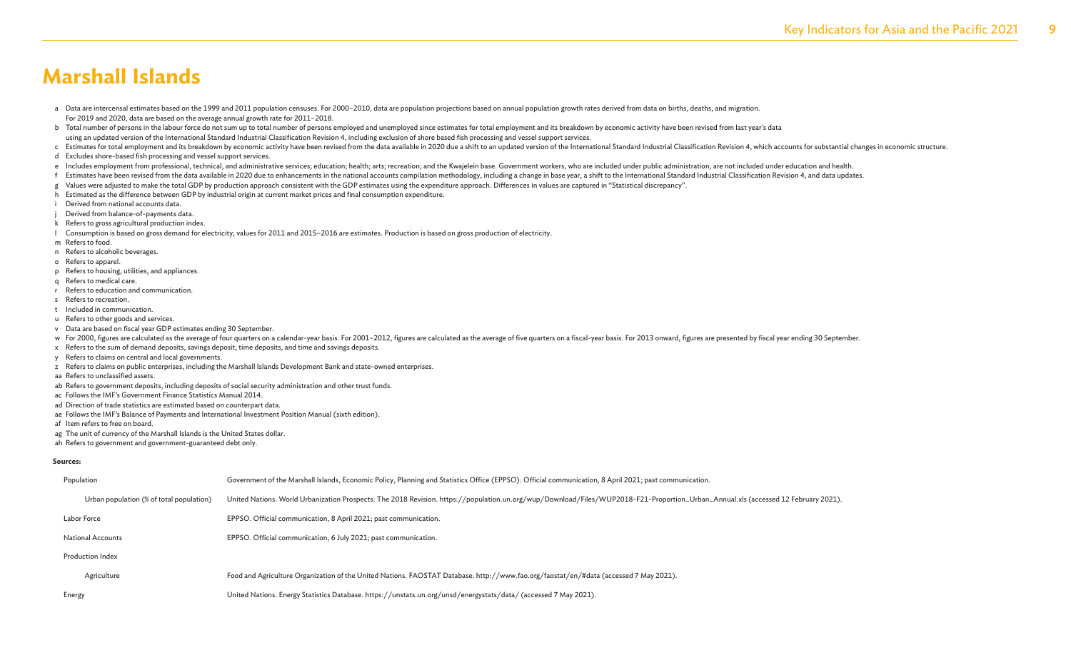- a Data are intercensal estimates based on the 1999 and 2011 population censuses. For 2000-2010, data are population projections based on annual population growth rates derived from data on births, deaths, and migration. For 2019 and 2020, data are based on the average annual growth rate for 2011–2018.
- b Total number of persons in the labour force do not sum up to total number of persons employed and unemployed since estimates for total employment and its breakdown by economic activity have been revised from last year's using an updated version of the International Standard Industrial Classification Revision 4, including exclusion of shore based fish processing and vessel support services.
- c Estimates for total employment and its breakdown by economic activity have been revised from the data available in 2020 due a shift to an updated version of the International Standard Industrial Classification Revision 4
- d Excludes shore-based fish processing and vessel support services.
- e Includes employment from professional, technical, and administrative services; education; health; arts; recreation; and the Kwajelein base. Government workers, who are included under public administration, are not includ
- f Estimates have been revised from the data available in 2020 due to enhancements in the national accounts compilation methodology, including a change in base year, a shift to the International Standard Industrial Classifi
- g Values were adjusted to make the total GDP by production approach consistent with the GDP estimates using the expenditure approach. Differences in values are captured in "Statistical discrepancy".
- h Estimated as the difference between GDP by industrial origin at current market prices and final consumption expenditure.
- Derived from national accounts data.
- Derived from balance-of-payments data.
- k Refers to gross agricultural production index.
- l Consumption is based on gross demand for electricity; values for 2011 and 2015–2016 are estimates. Production is based on gross production of electricity.
- m Refers to food.
- n Refers to alcoholic beverages.
- o Refers to apparel.
- p Refers to housing, utilities, and appliances.
- q Refers to medical care.
- r Refers to education and communication.
- s Refers to recreation.
- t Included in communication.
- u Refers to other goods and services.
- v Data are based on fiscal year GDP estimates ending 30 September.
- w For 2000, figures are calculated as the average of four quarters on a calendar-year basis. For 2001-2012, figures are calculated as the average of five quarters on a fiscal-year basis. For 2013 onward, figures are presen
- x Refers to the sum of demand deposits, savings deposit, time deposits, and time and savings deposits.
- y Refers to claims on central and local governments.
- z Refers to claims on public enterprises, including the Marshall Islands Development Bank and state-owned enterprises.
- aa Refers to unclassified assets.
- ab Refers to government deposits, including deposits of social security administration and other trust funds.
- ac Follows the IMF's Government Finance Statistics Manual 2014.
- ad Direction of trade statistics are estimated based on counterpart data.
- ae Follows the IMF's Balance of Payments and International Investment Position Manual (sixth edition).
- af Item refers to free on board.
- ag The unit of currency of the Marshall Islands is the United States dollar.
- ah Refers to government and government-guaranteed debt only.

#### **Sources:**

| Population                               | Government of the Marshall Islands, Economic Policy, Planning and Statistics Office (EPPSO). Official communication, 8 April 2021; past communication,                             |
|------------------------------------------|------------------------------------------------------------------------------------------------------------------------------------------------------------------------------------|
| Urban population (% of total population) | United Nations. World Urbanization Prospects: The 2018 Revision. https://population.un.org/wup/Download/Files/WUP2018-F21-Proportion_Urban_Annual.xls (accessed 12 February 2021). |
| Labor Force                              | EPPSO. Official communication, 8 April 2021; past communication.                                                                                                                   |
| <b>National Accounts</b>                 | EPPSO. Official communication, 6 July 2021; past communication.                                                                                                                    |
| <b>Production Index</b>                  |                                                                                                                                                                                    |
| Agriculture                              | Food and Agriculture Organization of the United Nations. FAOSTAT Database. http://www.fao.org/faostat/en/#data (accessed 7 May 2021).                                              |
| Energy                                   | United Nations. Energy Statistics Database. https://unstats.un.org/unsd/energystats/data/ (accessed 7 May 2021).                                                                   |